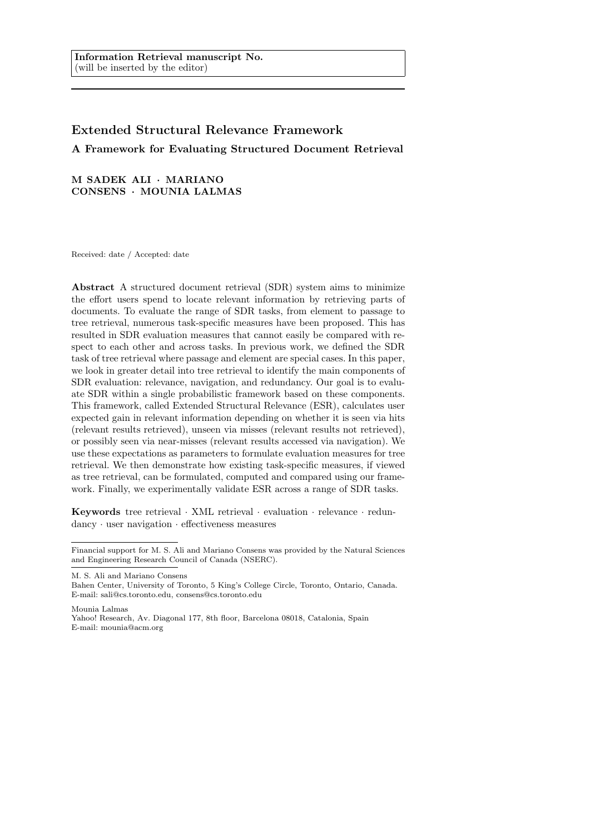# Extended Structural Relevance Framework A Framework for Evaluating Structured Document Retrieval

# M SADEK ALI · MARIANO CONSENS · MOUNIA LALMAS

Received: date / Accepted: date

Abstract A structured document retrieval (SDR) system aims to minimize the effort users spend to locate relevant information by retrieving parts of documents. To evaluate the range of SDR tasks, from element to passage to tree retrieval, numerous task-specific measures have been proposed. This has resulted in SDR evaluation measures that cannot easily be compared with respect to each other and across tasks. In previous work, we defined the SDR task of tree retrieval where passage and element are special cases. In this paper, we look in greater detail into tree retrieval to identify the main components of SDR evaluation: relevance, navigation, and redundancy. Our goal is to evaluate SDR within a single probabilistic framework based on these components. This framework, called Extended Structural Relevance (ESR), calculates user expected gain in relevant information depending on whether it is seen via hits (relevant results retrieved), unseen via misses (relevant results not retrieved), or possibly seen via near-misses (relevant results accessed via navigation). We use these expectations as parameters to formulate evaluation measures for tree retrieval. We then demonstrate how existing task-specific measures, if viewed as tree retrieval, can be formulated, computed and compared using our framework. Finally, we experimentally validate ESR across a range of SDR tasks.

Keywords tree retrieval · XML retrieval · evaluation · relevance · redundancy · user navigation · effectiveness measures

M. S. Ali and Mariano Consens

Mounia Lalmas

Yahoo! Research, Av. Diagonal 177, 8th floor, Barcelona 08018, Catalonia, Spain E-mail: mounia@acm.org

Financial support for M. S. Ali and Mariano Consens was provided by the Natural Sciences and Engineering Research Council of Canada (NSERC).

Bahen Center, University of Toronto, 5 King's College Circle, Toronto, Ontario, Canada. E-mail: sali@cs.toronto.edu, consens@cs.toronto.edu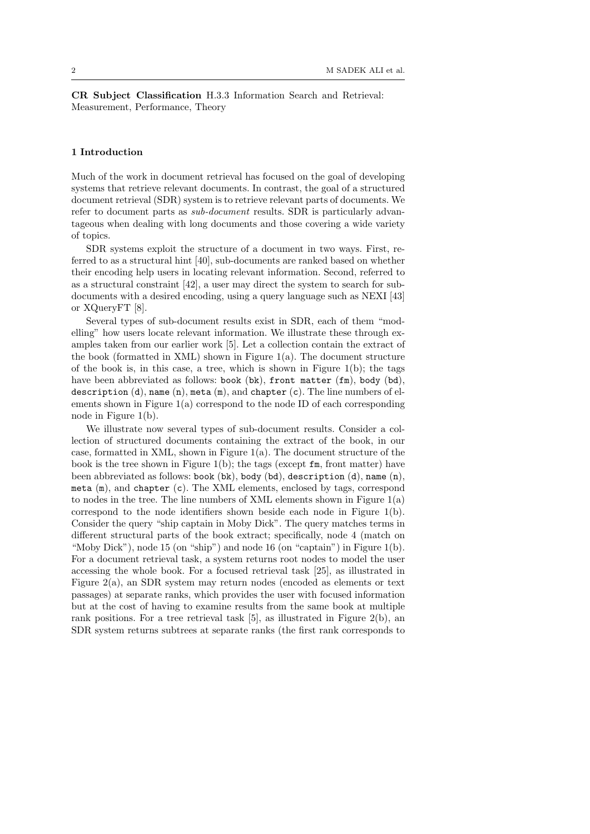CR Subject Classification H.3.3 Information Search and Retrieval: Measurement, Performance, Theory

### 1 Introduction

Much of the work in document retrieval has focused on the goal of developing systems that retrieve relevant documents. In contrast, the goal of a structured document retrieval (SDR) system is to retrieve relevant parts of documents. We refer to document parts as sub-document results. SDR is particularly advantageous when dealing with long documents and those covering a wide variety of topics.

SDR systems exploit the structure of a document in two ways. First, referred to as a structural hint [40], sub-documents are ranked based on whether their encoding help users in locating relevant information. Second, referred to as a structural constraint [42], a user may direct the system to search for subdocuments with a desired encoding, using a query language such as NEXI [43] or XQueryFT [8].

Several types of sub-document results exist in SDR, each of them "modelling" how users locate relevant information. We illustrate these through examples taken from our earlier work [5]. Let a collection contain the extract of the book (formatted in  $XML$ ) shown in Figure 1(a). The document structure of the book is, in this case, a tree, which is shown in Figure  $1(b)$ ; the tags have been abbreviated as follows: book (bk), front matter (fm), body (bd), description  $(d)$ , name  $(n)$ , meta  $(m)$ , and chapter  $(c)$ . The line numbers of elements shown in Figure  $1(a)$  correspond to the node ID of each corresponding node in Figure 1(b).

We illustrate now several types of sub-document results. Consider a collection of structured documents containing the extract of the book, in our case, formatted in XML, shown in Figure  $1(a)$ . The document structure of the book is the tree shown in Figure  $1(b)$ ; the tags (except  $fm$ , front matter) have been abbreviated as follows: book (bk), body (bd), description (d), name (n), meta (m), and chapter (c). The XML elements, enclosed by tags, correspond to nodes in the tree. The line numbers of  $XML$  elements shown in Figure 1(a) correspond to the node identifiers shown beside each node in Figure 1(b). Consider the query "ship captain in Moby Dick". The query matches terms in different structural parts of the book extract; specifically, node 4 (match on "Moby Dick"), node  $15$  (on "ship") and node  $16$  (on "captain") in Figure  $1(b)$ . For a document retrieval task, a system returns root nodes to model the user accessing the whole book. For a focused retrieval task [25], as illustrated in Figure 2(a), an SDR system may return nodes (encoded as elements or text passages) at separate ranks, which provides the user with focused information but at the cost of having to examine results from the same book at multiple rank positions. For a tree retrieval task [5], as illustrated in Figure 2(b), an SDR system returns subtrees at separate ranks (the first rank corresponds to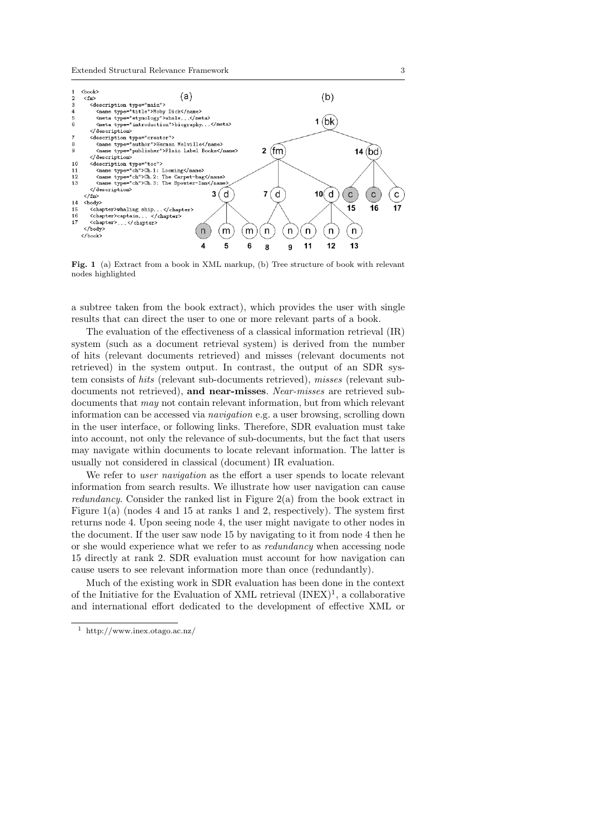

Fig. 1 (a) Extract from a book in XML markup, (b) Tree structure of book with relevant nodes highlighted

a subtree taken from the book extract), which provides the user with single results that can direct the user to one or more relevant parts of a book.

The evaluation of the effectiveness of a classical information retrieval (IR) system (such as a document retrieval system) is derived from the number of hits (relevant documents retrieved) and misses (relevant documents not retrieved) in the system output. In contrast, the output of an SDR system consists of hits (relevant sub-documents retrieved), misses (relevant subdocuments not retrieved), and near-misses. Near-misses are retrieved subdocuments that may not contain relevant information, but from which relevant information can be accessed via navigation e.g. a user browsing, scrolling down in the user interface, or following links. Therefore, SDR evaluation must take into account, not only the relevance of sub-documents, but the fact that users may navigate within documents to locate relevant information. The latter is usually not considered in classical (document) IR evaluation.

We refer to *user navigation* as the effort a user spends to locate relevant information from search results. We illustrate how user navigation can cause redundancy. Consider the ranked list in Figure 2(a) from the book extract in Figure  $1(a)$  (nodes 4 and 15 at ranks 1 and 2, respectively). The system first returns node 4. Upon seeing node 4, the user might navigate to other nodes in the document. If the user saw node 15 by navigating to it from node 4 then he or she would experience what we refer to as redundancy when accessing node 15 directly at rank 2. SDR evaluation must account for how navigation can cause users to see relevant information more than once (redundantly).

Much of the existing work in SDR evaluation has been done in the context of the Initiative for the Evaluation of XML retrieval  $(INEX)^1$ , a collaborative and international effort dedicated to the development of effective XML or

<sup>1</sup> http://www.inex.otago.ac.nz/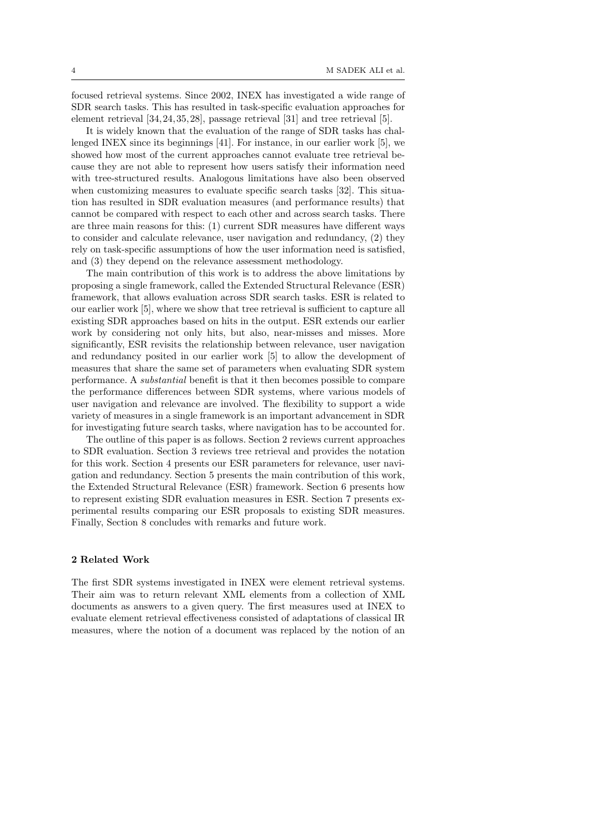focused retrieval systems. Since 2002, INEX has investigated a wide range of SDR search tasks. This has resulted in task-specific evaluation approaches for element retrieval [34, 24, 35, 28], passage retrieval [31] and tree retrieval [5].

It is widely known that the evaluation of the range of SDR tasks has challenged INEX since its beginnings [41]. For instance, in our earlier work [5], we showed how most of the current approaches cannot evaluate tree retrieval because they are not able to represent how users satisfy their information need with tree-structured results. Analogous limitations have also been observed when customizing measures to evaluate specific search tasks [32]. This situation has resulted in SDR evaluation measures (and performance results) that cannot be compared with respect to each other and across search tasks. There are three main reasons for this: (1) current SDR measures have different ways to consider and calculate relevance, user navigation and redundancy, (2) they rely on task-specific assumptions of how the user information need is satisfied, and (3) they depend on the relevance assessment methodology.

The main contribution of this work is to address the above limitations by proposing a single framework, called the Extended Structural Relevance (ESR) framework, that allows evaluation across SDR search tasks. ESR is related to our earlier work [5], where we show that tree retrieval is sufficient to capture all existing SDR approaches based on hits in the output. ESR extends our earlier work by considering not only hits, but also, near-misses and misses. More significantly, ESR revisits the relationship between relevance, user navigation and redundancy posited in our earlier work [5] to allow the development of measures that share the same set of parameters when evaluating SDR system performance. A substantial benefit is that it then becomes possible to compare the performance differences between SDR systems, where various models of user navigation and relevance are involved. The flexibility to support a wide variety of measures in a single framework is an important advancement in SDR for investigating future search tasks, where navigation has to be accounted for.

The outline of this paper is as follows. Section 2 reviews current approaches to SDR evaluation. Section 3 reviews tree retrieval and provides the notation for this work. Section 4 presents our ESR parameters for relevance, user navigation and redundancy. Section 5 presents the main contribution of this work, the Extended Structural Relevance (ESR) framework. Section 6 presents how to represent existing SDR evaluation measures in ESR. Section 7 presents experimental results comparing our ESR proposals to existing SDR measures. Finally, Section 8 concludes with remarks and future work.

# 2 Related Work

The first SDR systems investigated in INEX were element retrieval systems. Their aim was to return relevant XML elements from a collection of XML documents as answers to a given query. The first measures used at INEX to evaluate element retrieval effectiveness consisted of adaptations of classical IR measures, where the notion of a document was replaced by the notion of an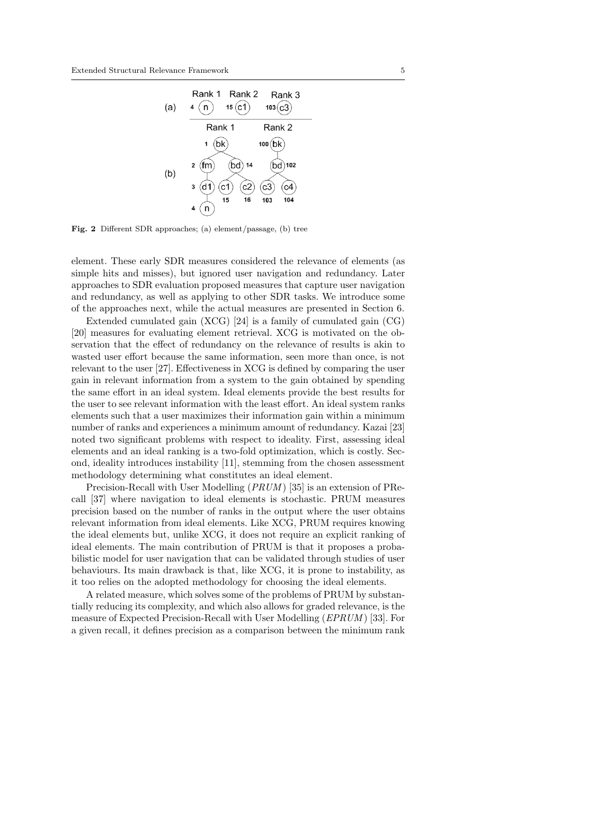

Fig. 2 Different SDR approaches; (a) element/passage, (b) tree

element. These early SDR measures considered the relevance of elements (as simple hits and misses), but ignored user navigation and redundancy. Later approaches to SDR evaluation proposed measures that capture user navigation and redundancy, as well as applying to other SDR tasks. We introduce some of the approaches next, while the actual measures are presented in Section 6.

Extended cumulated gain (XCG) [24] is a family of cumulated gain (CG) [20] measures for evaluating element retrieval. XCG is motivated on the observation that the effect of redundancy on the relevance of results is akin to wasted user effort because the same information, seen more than once, is not relevant to the user [27]. Effectiveness in XCG is defined by comparing the user gain in relevant information from a system to the gain obtained by spending the same effort in an ideal system. Ideal elements provide the best results for the user to see relevant information with the least effort. An ideal system ranks elements such that a user maximizes their information gain within a minimum number of ranks and experiences a minimum amount of redundancy. Kazai [23] noted two significant problems with respect to ideality. First, assessing ideal elements and an ideal ranking is a two-fold optimization, which is costly. Second, ideality introduces instability [11], stemming from the chosen assessment methodology determining what constitutes an ideal element.

Precision-Recall with User Modelling (*PRUM*) [35] is an extension of PRecall [37] where navigation to ideal elements is stochastic. PRUM measures precision based on the number of ranks in the output where the user obtains relevant information from ideal elements. Like XCG, PRUM requires knowing the ideal elements but, unlike XCG, it does not require an explicit ranking of ideal elements. The main contribution of PRUM is that it proposes a probabilistic model for user navigation that can be validated through studies of user behaviours. Its main drawback is that, like XCG, it is prone to instability, as it too relies on the adopted methodology for choosing the ideal elements.

A related measure, which solves some of the problems of PRUM by substantially reducing its complexity, and which also allows for graded relevance, is the measure of Expected Precision-Recall with User Modelling (EPRUM ) [33]. For a given recall, it defines precision as a comparison between the minimum rank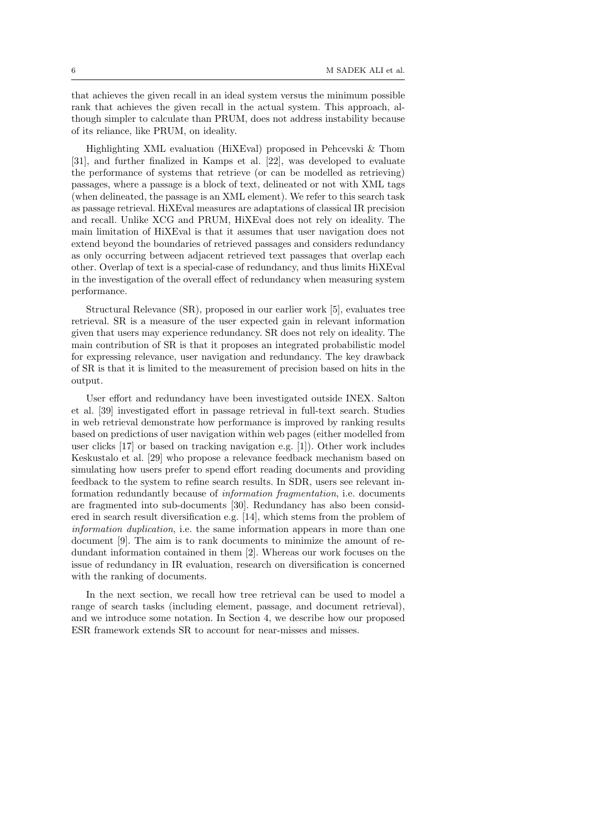that achieves the given recall in an ideal system versus the minimum possible rank that achieves the given recall in the actual system. This approach, although simpler to calculate than PRUM, does not address instability because of its reliance, like PRUM, on ideality.

Highlighting XML evaluation (HiXEval) proposed in Pehcevski & Thom [31], and further finalized in Kamps et al. [22], was developed to evaluate the performance of systems that retrieve (or can be modelled as retrieving) passages, where a passage is a block of text, delineated or not with XML tags (when delineated, the passage is an XML element). We refer to this search task as passage retrieval. HiXEval measures are adaptations of classical IR precision and recall. Unlike XCG and PRUM, HiXEval does not rely on ideality. The main limitation of HiXEval is that it assumes that user navigation does not extend beyond the boundaries of retrieved passages and considers redundancy as only occurring between adjacent retrieved text passages that overlap each other. Overlap of text is a special-case of redundancy, and thus limits HiXEval in the investigation of the overall effect of redundancy when measuring system performance.

Structural Relevance (SR), proposed in our earlier work [5], evaluates tree retrieval. SR is a measure of the user expected gain in relevant information given that users may experience redundancy. SR does not rely on ideality. The main contribution of SR is that it proposes an integrated probabilistic model for expressing relevance, user navigation and redundancy. The key drawback of SR is that it is limited to the measurement of precision based on hits in the output.

User effort and redundancy have been investigated outside INEX. Salton et al. [39] investigated effort in passage retrieval in full-text search. Studies in web retrieval demonstrate how performance is improved by ranking results based on predictions of user navigation within web pages (either modelled from user clicks  $[17]$  or based on tracking navigation e.g.  $[1]$ ). Other work includes Keskustalo et al. [29] who propose a relevance feedback mechanism based on simulating how users prefer to spend effort reading documents and providing feedback to the system to refine search results. In SDR, users see relevant information redundantly because of information fragmentation, i.e. documents are fragmented into sub-documents [30]. Redundancy has also been considered in search result diversification e.g. [14], which stems from the problem of information duplication, i.e. the same information appears in more than one document [9]. The aim is to rank documents to minimize the amount of redundant information contained in them [2]. Whereas our work focuses on the issue of redundancy in IR evaluation, research on diversification is concerned with the ranking of documents.

In the next section, we recall how tree retrieval can be used to model a range of search tasks (including element, passage, and document retrieval), and we introduce some notation. In Section 4, we describe how our proposed ESR framework extends SR to account for near-misses and misses.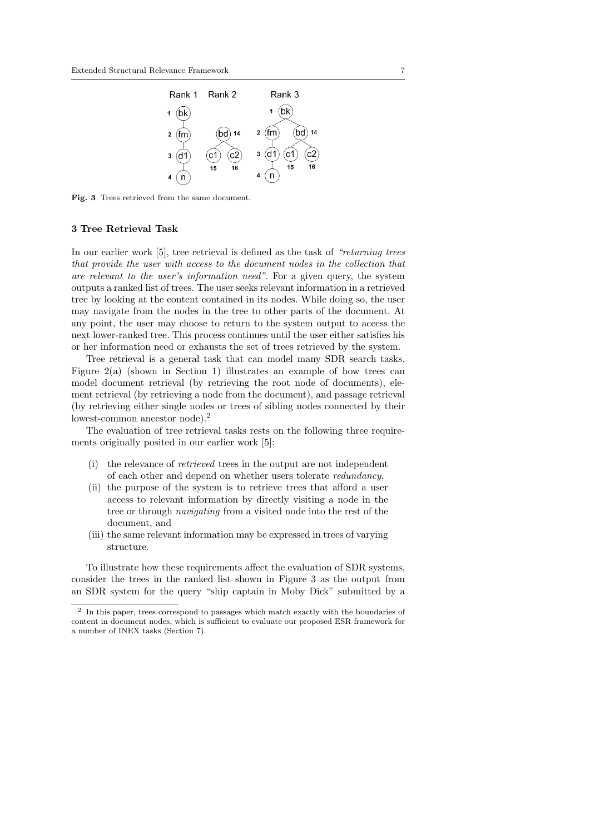

Fig. 3 Trees retrieved from the same document.

# 3 Tree Retrieval Task

In our earlier work [5], tree retrieval is defined as the task of "returning trees that provide the user with access to the document nodes in the collection that are relevant to the user's information need". For a given query, the system outputs a ranked list of trees. The user seeks relevant information in a retrieved tree by looking at the content contained in its nodes. While doing so, the user may navigate from the nodes in the tree to other parts of the document. At any point, the user may choose to return to the system output to access the next lower-ranked tree. This process continues until the user either satisfies his or her information need or exhausts the set of trees retrieved by the system.

Tree retrieval is a general task that can model many SDR search tasks. Figure 2(a) (shown in Section 1) illustrates an example of how trees can model document retrieval (by retrieving the root node of documents), element retrieval (by retrieving a node from the document), and passage retrieval (by retrieving either single nodes or trees of sibling nodes connected by their lowest-common ancestor node).<sup>2</sup>

The evaluation of tree retrieval tasks rests on the following three requirements originally posited in our earlier work [5]:

- (i) the relevance of retrieved trees in the output are not independent of each other and depend on whether users tolerate redundancy,
- (ii) the purpose of the system is to retrieve trees that afford a user access to relevant information by directly visiting a node in the tree or through navigating from a visited node into the rest of the document, and
- (iii) the same relevant information may be expressed in trees of varying structure.

To illustrate how these requirements affect the evaluation of SDR systems, consider the trees in the ranked list shown in Figure 3 as the output from an SDR system for the query "ship captain in Moby Dick" submitted by a

<sup>&</sup>lt;sup>2</sup> In this paper, trees correspond to passages which match exactly with the boundaries of content in document nodes, which is sufficient to evaluate our proposed ESR framework for a number of INEX tasks (Section 7).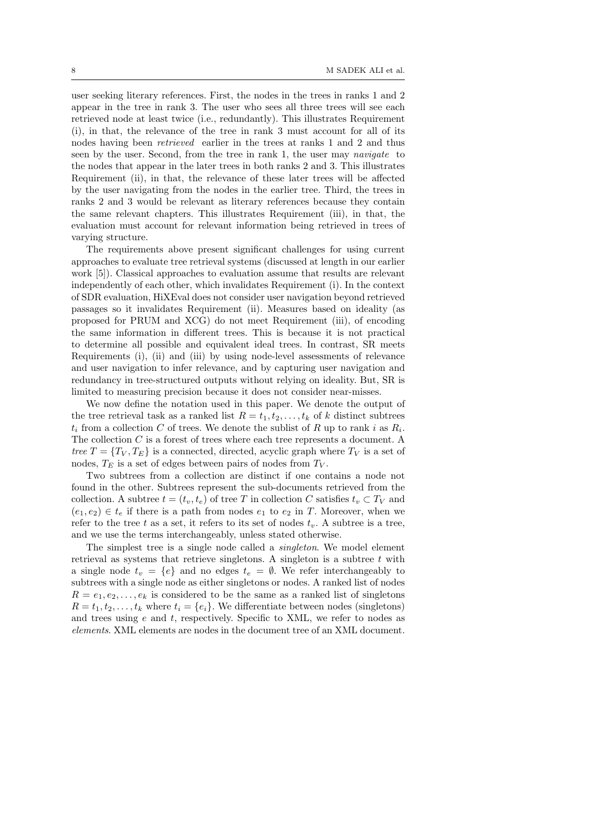user seeking literary references. First, the nodes in the trees in ranks 1 and 2 appear in the tree in rank 3. The user who sees all three trees will see each retrieved node at least twice (i.e., redundantly). This illustrates Requirement (i), in that, the relevance of the tree in rank 3 must account for all of its nodes having been retrieved earlier in the trees at ranks 1 and 2 and thus seen by the user. Second, from the tree in rank 1, the user may navigate to the nodes that appear in the later trees in both ranks 2 and 3. This illustrates Requirement (ii), in that, the relevance of these later trees will be affected by the user navigating from the nodes in the earlier tree. Third, the trees in ranks 2 and 3 would be relevant as literary references because they contain the same relevant chapters. This illustrates Requirement (iii), in that, the evaluation must account for relevant information being retrieved in trees of varying structure.

The requirements above present significant challenges for using current approaches to evaluate tree retrieval systems (discussed at length in our earlier work [5]). Classical approaches to evaluation assume that results are relevant independently of each other, which invalidates Requirement (i). In the context of SDR evaluation, HiXEval does not consider user navigation beyond retrieved passages so it invalidates Requirement (ii). Measures based on ideality (as proposed for PRUM and XCG) do not meet Requirement (iii), of encoding the same information in different trees. This is because it is not practical to determine all possible and equivalent ideal trees. In contrast, SR meets Requirements (i), (ii) and (iii) by using node-level assessments of relevance and user navigation to infer relevance, and by capturing user navigation and redundancy in tree-structured outputs without relying on ideality. But, SR is limited to measuring precision because it does not consider near-misses.

We now define the notation used in this paper. We denote the output of the tree retrieval task as a ranked list  $R = t_1, t_2, \ldots, t_k$  of k distinct subtrees  $t_i$  from a collection C of trees. We denote the sublist of R up to rank i as  $R_i$ . The collection C is a forest of trees where each tree represents a document. A tree  $T = \{T_V, T_E\}$  is a connected, directed, acyclic graph where  $T_V$  is a set of nodes,  $T_E$  is a set of edges between pairs of nodes from  $T_V$ .

Two subtrees from a collection are distinct if one contains a node not found in the other. Subtrees represent the sub-documents retrieved from the collection. A subtree  $t = (t_v, t_e)$  of tree T in collection C satisfies  $t_v \subset T_V$  and  $(e_1, e_2) \in t_e$  if there is a path from nodes  $e_1$  to  $e_2$  in T. Moreover, when we refer to the tree t as a set, it refers to its set of nodes  $t_v$ . A subtree is a tree, and we use the terms interchangeably, unless stated otherwise.

The simplest tree is a single node called a singleton. We model element retrieval as systems that retrieve singletons. A singleton is a subtree  $t$  with a single node  $t_v = \{e\}$  and no edges  $t_e = \emptyset$ . We refer interchangeably to subtrees with a single node as either singletons or nodes. A ranked list of nodes  $R = e_1, e_2, \ldots, e_k$  is considered to be the same as a ranked list of singletons  $R = t_1, t_2, \ldots, t_k$  where  $t_i = \{e_i\}$ . We differentiate between nodes (singletons) and trees using  $e$  and  $t$ , respectively. Specific to XML, we refer to nodes as elements. XML elements are nodes in the document tree of an XML document.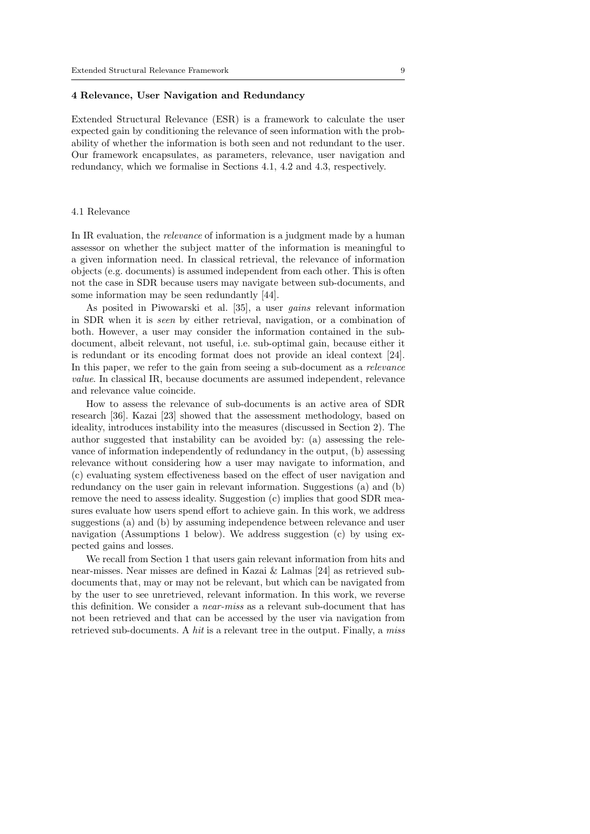# 4 Relevance, User Navigation and Redundancy

Extended Structural Relevance (ESR) is a framework to calculate the user expected gain by conditioning the relevance of seen information with the probability of whether the information is both seen and not redundant to the user. Our framework encapsulates, as parameters, relevance, user navigation and redundancy, which we formalise in Sections 4.1, 4.2 and 4.3, respectively.

# 4.1 Relevance

In IR evaluation, the *relevance* of information is a judgment made by a human assessor on whether the subject matter of the information is meaningful to a given information need. In classical retrieval, the relevance of information objects (e.g. documents) is assumed independent from each other. This is often not the case in SDR because users may navigate between sub-documents, and some information may be seen redundantly [44].

As posited in Piwowarski et al. [35], a user gains relevant information in SDR when it is seen by either retrieval, navigation, or a combination of both. However, a user may consider the information contained in the subdocument, albeit relevant, not useful, i.e. sub-optimal gain, because either it is redundant or its encoding format does not provide an ideal context [24]. In this paper, we refer to the gain from seeing a sub-document as a relevance value. In classical IR, because documents are assumed independent, relevance and relevance value coincide.

How to assess the relevance of sub-documents is an active area of SDR research [36]. Kazai [23] showed that the assessment methodology, based on ideality, introduces instability into the measures (discussed in Section 2). The author suggested that instability can be avoided by: (a) assessing the relevance of information independently of redundancy in the output, (b) assessing relevance without considering how a user may navigate to information, and (c) evaluating system effectiveness based on the effect of user navigation and redundancy on the user gain in relevant information. Suggestions (a) and (b) remove the need to assess ideality. Suggestion (c) implies that good SDR measures evaluate how users spend effort to achieve gain. In this work, we address suggestions (a) and (b) by assuming independence between relevance and user navigation (Assumptions 1 below). We address suggestion (c) by using expected gains and losses.

We recall from Section 1 that users gain relevant information from hits and near-misses. Near misses are defined in Kazai & Lalmas [24] as retrieved subdocuments that, may or may not be relevant, but which can be navigated from by the user to see unretrieved, relevant information. In this work, we reverse this definition. We consider a near-miss as a relevant sub-document that has not been retrieved and that can be accessed by the user via navigation from retrieved sub-documents. A *hit* is a relevant tree in the output. Finally, a *miss*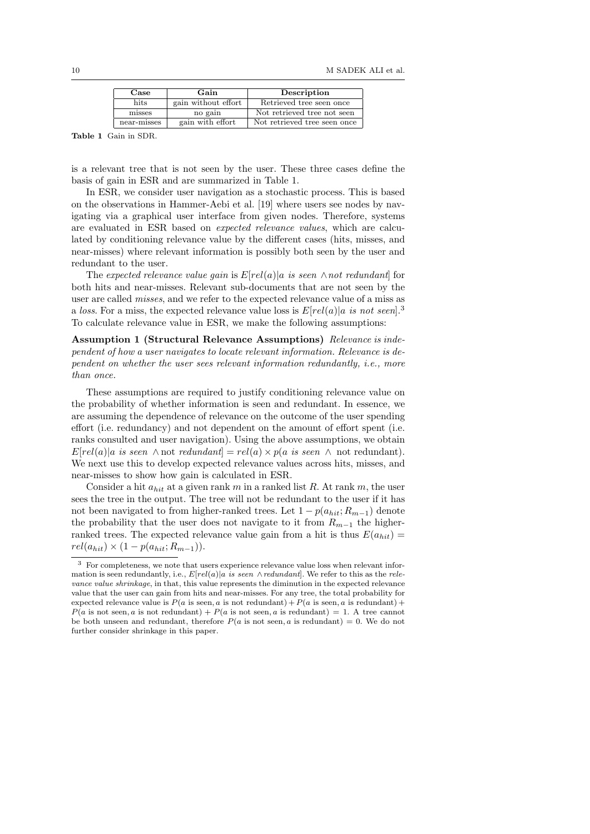| Case        | Gain                | Description                  |
|-------------|---------------------|------------------------------|
| hits        | gain without effort | Retrieved tree seen once     |
| misses      | no gain             | Not retrieved tree not seen  |
| near-misses | gain with effort    | Not retrieved tree seen once |

Table 1 Gain in SDR.

is a relevant tree that is not seen by the user. These three cases define the basis of gain in ESR and are summarized in Table 1.

In ESR, we consider user navigation as a stochastic process. This is based on the observations in Hammer-Aebi et al. [19] where users see nodes by navigating via a graphical user interface from given nodes. Therefore, systems are evaluated in ESR based on expected relevance values, which are calculated by conditioning relevance value by the different cases (hits, misses, and near-misses) where relevant information is possibly both seen by the user and redundant to the user.

The expected relevance value gain is  $E[rel(a)|a$  is seen  $\wedge$  not redundant for both hits and near-misses. Relevant sub-documents that are not seen by the user are called misses, and we refer to the expected relevance value of a miss as a loss. For a miss, the expected relevance value loss is  $E[rel(a)|a \text{ is not seen}]$ <sup>3</sup> To calculate relevance value in ESR, we make the following assumptions:

Assumption 1 (Structural Relevance Assumptions) Relevance is independent of how a user navigates to locate relevant information. Relevance is dependent on whether the user sees relevant information redundantly, i.e., more than once.

These assumptions are required to justify conditioning relevance value on the probability of whether information is seen and redundant. In essence, we are assuming the dependence of relevance on the outcome of the user spending effort (i.e. redundancy) and not dependent on the amount of effort spent (i.e. ranks consulted and user navigation). Using the above assumptions, we obtain  $E[rel(a)]$ a is seen  $\wedge$  not redundant $] = rel(a) \times p(a$  is seen  $\wedge$  not redundant). We next use this to develop expected relevance values across hits, misses, and near-misses to show how gain is calculated in ESR.

Consider a hit  $a_{hit}$  at a given rank m in a ranked list R. At rank m, the user sees the tree in the output. The tree will not be redundant to the user if it has not been navigated to from higher-ranked trees. Let  $1 - p(a_{hit}; R_{m-1})$  denote the probability that the user does not navigate to it from  $R_{m-1}$  the higherranked trees. The expected relevance value gain from a hit is thus  $E(a_{hit}) =$  $rel(a_{hit}) \times (1 - p(a_{hit}; R_{m-1})).$ 

<sup>3</sup> For completeness, we note that users experience relevance value loss when relevant information is seen redundantly, i.e.,  $E[rel(a)|a \text{ is seen } \wedge redundant]$ . We refer to this as the relevance value shrinkage, in that, this value represents the diminution in the expected relevance value that the user can gain from hits and near-misses. For any tree, the total probability for expected relevance value is  $P(a \text{ is seen}, a \text{ is not redundant}) + P(a \text{ is seen}, a \text{ is redundant}) +$  $P(a \text{ is not seen, } a \text{ is not redundant}) + P(a \text{ is not seen, } a \text{ is redundant}) = 1.$  A tree cannot be both unseen and redundant, therefore  $P(a \text{ is not seen}, a \text{ is redundant}) = 0$ . We do not further consider shrinkage in this paper.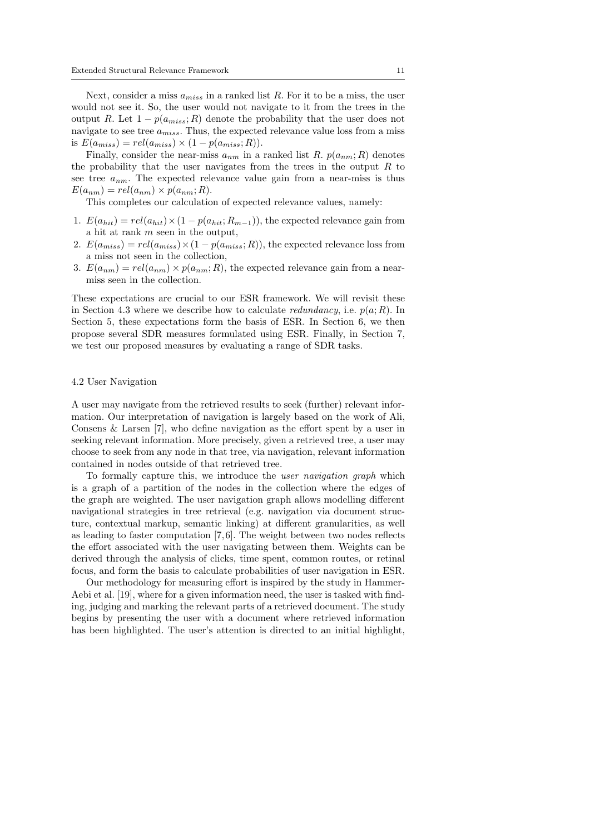Next, consider a miss  $a_{miss}$  in a ranked list R. For it to be a miss, the user would not see it. So, the user would not navigate to it from the trees in the output R. Let  $1 - p(a_{miss}; R)$  denote the probability that the user does not navigate to see tree  $a_{miss}$ . Thus, the expected relevance value loss from a miss is  $E(a_{miss}) = rel(a_{miss}) \times (1 - p(a_{miss}; R)).$ 

Finally, consider the near-miss  $a_{nm}$  in a ranked list R.  $p(a_{nm}; R)$  denotes the probability that the user navigates from the trees in the output  $R$  to see tree  $a_{nm}$ . The expected relevance value gain from a near-miss is thus  $E(a_{nm}) = rel(a_{nm}) \times p(a_{nm}; R).$ 

This completes our calculation of expected relevance values, namely:

- 1.  $E(a_{hit}) = rel(a_{hit}) \times (1 p(a_{hit}; R_{m-1}))$ , the expected relevance gain from a hit at rank m seen in the output,
- 2.  $E(a_{miss}) = rel(a_{miss}) \times (1 p(a_{miss}; R))$ , the expected relevance loss from a miss not seen in the collection,
- 3.  $E(a_{nm}) = rel(a_{nm}) \times p(a_{nm}; R)$ , the expected relevance gain from a nearmiss seen in the collection.

These expectations are crucial to our ESR framework. We will revisit these in Section 4.3 where we describe how to calculate *redundancy*, i.e.  $p(a; R)$ . In Section 5, these expectations form the basis of ESR. In Section 6, we then propose several SDR measures formulated using ESR. Finally, in Section 7, we test our proposed measures by evaluating a range of SDR tasks.

#### 4.2 User Navigation

A user may navigate from the retrieved results to seek (further) relevant information. Our interpretation of navigation is largely based on the work of Ali, Consens & Larsen [7], who define navigation as the effort spent by a user in seeking relevant information. More precisely, given a retrieved tree, a user may choose to seek from any node in that tree, via navigation, relevant information contained in nodes outside of that retrieved tree.

To formally capture this, we introduce the user navigation graph which is a graph of a partition of the nodes in the collection where the edges of the graph are weighted. The user navigation graph allows modelling different navigational strategies in tree retrieval (e.g. navigation via document structure, contextual markup, semantic linking) at different granularities, as well as leading to faster computation  $[7, 6]$ . The weight between two nodes reflects the effort associated with the user navigating between them. Weights can be derived through the analysis of clicks, time spent, common routes, or retinal focus, and form the basis to calculate probabilities of user navigation in ESR.

Our methodology for measuring effort is inspired by the study in Hammer-Aebi et al. [19], where for a given information need, the user is tasked with finding, judging and marking the relevant parts of a retrieved document. The study begins by presenting the user with a document where retrieved information has been highlighted. The user's attention is directed to an initial highlight,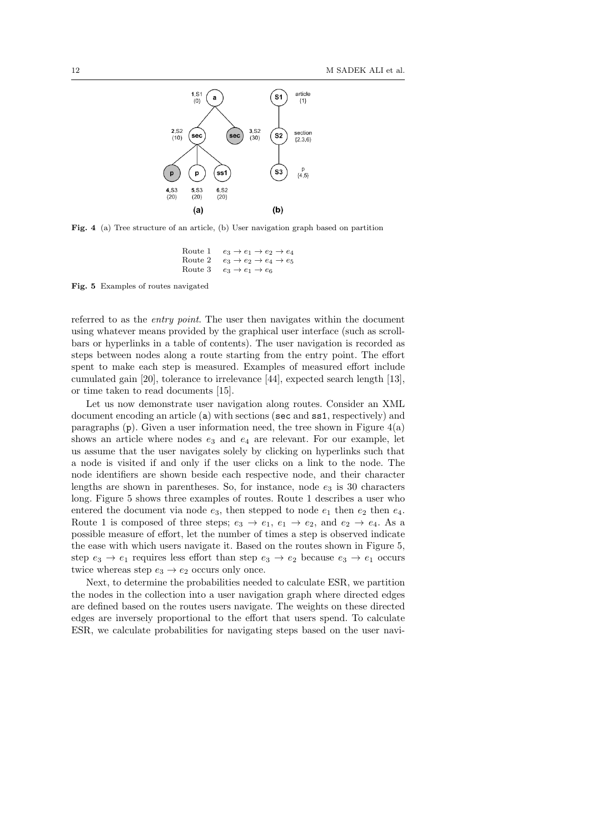

Fig. 4 (a) Tree structure of an article, (b) User navigation graph based on partition

| Route 1             | $e_3 \rightarrow e_1 \rightarrow e_2 \rightarrow e_4$ |
|---------------------|-------------------------------------------------------|
| $\mathrm{Route}\ 2$ | $e_3 \rightarrow e_2 \rightarrow e_4 \rightarrow e_5$ |
| Route 3             | $e_3 \rightarrow e_1 \rightarrow e_6$                 |

Fig. 5 Examples of routes navigated

referred to as the *entry point*. The user then navigates within the document using whatever means provided by the graphical user interface (such as scrollbars or hyperlinks in a table of contents). The user navigation is recorded as steps between nodes along a route starting from the entry point. The effort spent to make each step is measured. Examples of measured effort include cumulated gain [20], tolerance to irrelevance [44], expected search length [13], or time taken to read documents [15].

Let us now demonstrate user navigation along routes. Consider an XML document encoding an article (a) with sections (sec and ss1, respectively) and paragraphs  $(p)$ . Given a user information need, the tree shown in Figure  $4(a)$ shows an article where nodes  $e_3$  and  $e_4$  are relevant. For our example, let us assume that the user navigates solely by clicking on hyperlinks such that a node is visited if and only if the user clicks on a link to the node. The node identifiers are shown beside each respective node, and their character lengths are shown in parentheses. So, for instance, node  $e_3$  is 30 characters long. Figure 5 shows three examples of routes. Route 1 describes a user who entered the document via node  $e_3$ , then stepped to node  $e_1$  then  $e_2$  then  $e_4$ . Route 1 is composed of three steps;  $e_3 \rightarrow e_1, e_1 \rightarrow e_2$ , and  $e_2 \rightarrow e_4$ . As a possible measure of effort, let the number of times a step is observed indicate the ease with which users navigate it. Based on the routes shown in Figure 5, step  $e_3 \rightarrow e_1$  requires less effort than step  $e_3 \rightarrow e_2$  because  $e_3 \rightarrow e_1$  occurs twice whereas step  $e_3 \rightarrow e_2$  occurs only once.

Next, to determine the probabilities needed to calculate ESR, we partition the nodes in the collection into a user navigation graph where directed edges are defined based on the routes users navigate. The weights on these directed edges are inversely proportional to the effort that users spend. To calculate ESR, we calculate probabilities for navigating steps based on the user navi-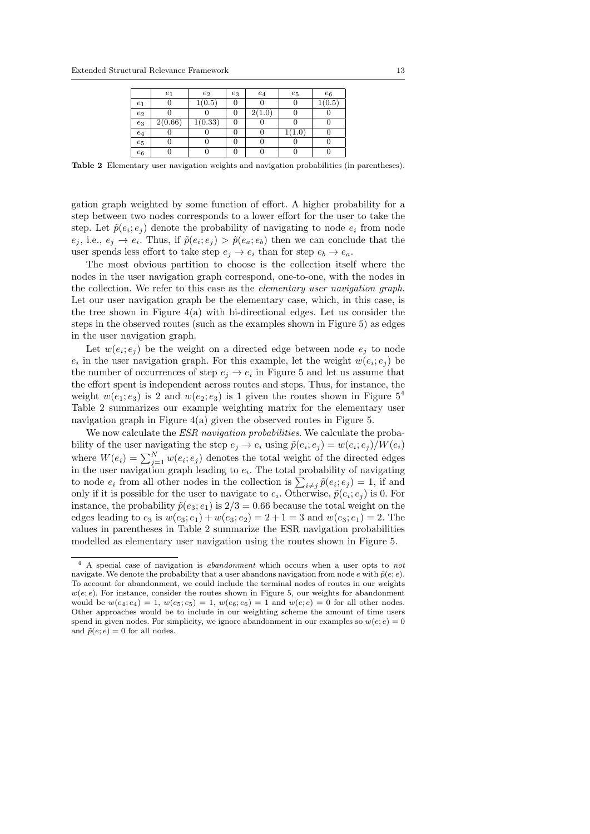|                     | e <sub>1</sub> | $e_2$   | $e_3$ | $e_4$     | $e_5$          | $e_6$  |
|---------------------|----------------|---------|-------|-----------|----------------|--------|
| $e_1$               |                | 1(0.5)  |       |           |                | 1(0.5) |
| $\scriptstyle{e_2}$ |                |         |       | 1.0<br>2( |                |        |
| $e_3$               | 2(0.66)        | 1(0.33) |       |           |                |        |
| $e_4$               |                |         |       |           | $\mathbf{1}$ . |        |
| $e_5$               |                |         |       |           |                |        |
| $e_6$               |                |         |       |           |                |        |

Table 2 Elementary user navigation weights and navigation probabilities (in parentheses).

gation graph weighted by some function of effort. A higher probability for a step between two nodes corresponds to a lower effort for the user to take the step. Let  $\tilde{p}(e_i; e_j)$  denote the probability of navigating to node  $e_i$  from node  $e_j$ , i.e.,  $e_j \to e_i$ . Thus, if  $\tilde{p}(e_i; e_j) > \tilde{p}(e_a; e_b)$  then we can conclude that the user spends less effort to take step  $e_i \rightarrow e_i$  than for step  $e_b \rightarrow e_a$ .

The most obvious partition to choose is the collection itself where the nodes in the user navigation graph correspond, one-to-one, with the nodes in the collection. We refer to this case as the elementary user navigation graph. Let our user navigation graph be the elementary case, which, in this case, is the tree shown in Figure  $4(a)$  with bi-directional edges. Let us consider the steps in the observed routes (such as the examples shown in Figure 5) as edges in the user navigation graph.

Let  $w(e_i; e_j)$  be the weight on a directed edge between node  $e_j$  to node  $e_i$  in the user navigation graph. For this example, let the weight  $w(e_i; e_j)$  be the number of occurrences of step  $e_j \to e_i$  in Figure 5 and let us assume that the effort spent is independent across routes and steps. Thus, for instance, the weight  $w(e_1; e_3)$  is 2 and  $w(e_2; e_3)$  is 1 given the routes shown in Figure 5<sup>4</sup> Table 2 summarizes our example weighting matrix for the elementary user navigation graph in Figure 4(a) given the observed routes in Figure 5.

We now calculate the *ESR navigation probabilities*. We calculate the probability of the user navigating the step  $e_j \to e_i$  using  $\tilde{p}(e_i; e_j) = w(e_i; e_j)/W(e_i)$ where  $W(e_i) = \sum_{j=1}^{N} w(e_i; e_j)$  denotes the total weight of the directed edges in the user navigation graph leading to  $e_i$ . The total probability of navigating to node  $e_i$  from all other nodes in the collection is  $\sum_{i \neq j} \tilde{p}(e_i; e_j) = 1$ , if and only if it is possible for the user to navigate to  $e_i$ . Otherwise,  $\tilde{p}(e_i; e_j)$  is 0. For instance, the probability  $\tilde{p}(e_3; e_1)$  is  $2/3 = 0.66$  because the total weight on the edges leading to  $e_3$  is  $w(e_3; e_1) + w(e_3; e_2) = 2 + 1 = 3$  and  $w(e_3; e_1) = 2$ . The values in parentheses in Table 2 summarize the ESR navigation probabilities modelled as elementary user navigation using the routes shown in Figure 5.

<sup>4</sup> A special case of navigation is abandonment which occurs when a user opts to not navigate. We denote the probability that a user abandons navigation from node e with  $\tilde{p}(e; e)$ . To account for abandonment, we could include the terminal nodes of routes in our weights  $w(e; e)$ . For instance, consider the routes shown in Figure 5, our weights for abandonment would be  $w(e_4, e_4) = 1$ ,  $w(e_5, e_5) = 1$ ,  $w(e_6, e_6) = 1$  and  $w(e, e) = 0$  for all other nodes. Other approaches would be to include in our weighting scheme the amount of time users spend in given nodes. For simplicity, we ignore abandonment in our examples so  $w(e; e) = 0$ and  $\tilde{p}(e; e) = 0$  for all nodes.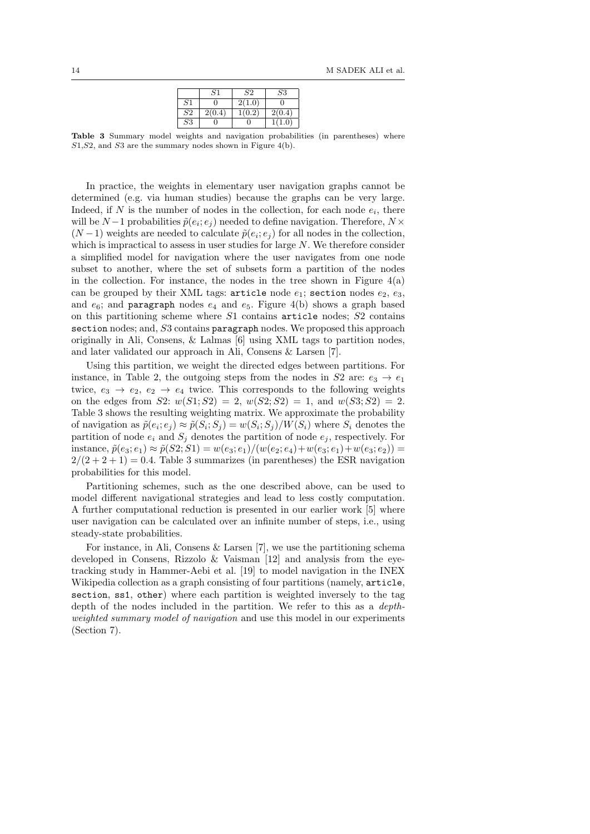|         | S1     | S <sub>2</sub> | S3     |
|---------|--------|----------------|--------|
| S1      | 0      | 2(1.0)         | 0      |
| $^{S2}$ | 2(0.4) | 1(0.2)         | 2(0.4) |
| S3      |        |                | 1(1.0) |

Table 3 Summary model weights and navigation probabilities (in parentheses) where  $S1, S2$ , and  $S3$  are the summary nodes shown in Figure 4(b).

In practice, the weights in elementary user navigation graphs cannot be determined (e.g. via human studies) because the graphs can be very large. Indeed, if  $N$  is the number of nodes in the collection, for each node  $e_i$ , there will be  $N-1$  probabilities  $\tilde{p}(e_i; e_j)$  needed to define navigation. Therefore,  $N \times$  $(N-1)$  weights are needed to calculate  $\tilde{p}(e_i; e_j)$  for all nodes in the collection, which is impractical to assess in user studies for large  $N$ . We therefore consider a simplified model for navigation where the user navigates from one node subset to another, where the set of subsets form a partition of the nodes in the collection. For instance, the nodes in the tree shown in Figure  $4(a)$ can be grouped by their XML tags: article node  $e_1$ ; section nodes  $e_2$ ,  $e_3$ , and  $e_6$ ; and **paragraph** nodes  $e_4$  and  $e_5$ . Figure 4(b) shows a graph based on this partitioning scheme where  $S1$  contains article nodes;  $S2$  contains section nodes; and, S3 contains paragraph nodes. We proposed this approach originally in Ali, Consens, & Lalmas [6] using XML tags to partition nodes, and later validated our approach in Ali, Consens & Larsen [7].

Using this partition, we weight the directed edges between partitions. For instance, in Table 2, the outgoing steps from the nodes in  $S2$  are:  $e_3 \rightarrow e_1$ twice,  $e_3 \rightarrow e_2, e_2 \rightarrow e_4$  twice. This corresponds to the following weights on the edges from  $S2: w(S1; S2) = 2, w(S2; S2) = 1,$  and  $w(S3; S2) = 2$ . Table 3 shows the resulting weighting matrix. We approximate the probability of navigation as  $\tilde{p}(e_i; e_j) \approx \tilde{p}(S_i; S_j) = w(S_i; S_j) / W(S_i)$  where  $S_i$  denotes the partition of node  $e_i$  and  $S_j$  denotes the partition of node  $e_j$ , respectively. For instance,  $\tilde{p}(e_3; e_1) \approx \tilde{p}(S2; S1) = w(e_3; e_1)/(w(e_2; e_4) + w(e_3; e_1) + w(e_3; e_2)) =$  $2/(2 + 2 + 1) = 0.4$ . Table 3 summarizes (in parentheses) the ESR navigation probabilities for this model.

Partitioning schemes, such as the one described above, can be used to model different navigational strategies and lead to less costly computation. A further computational reduction is presented in our earlier work [5] where user navigation can be calculated over an infinite number of steps, i.e., using steady-state probabilities.

For instance, in Ali, Consens & Larsen [7], we use the partitioning schema developed in Consens, Rizzolo  $\&$  Vaisman [12] and analysis from the evetracking study in Hammer-Aebi et al. [19] to model navigation in the INEX Wikipedia collection as a graph consisting of four partitions (namely, article, section, ss1, other) where each partition is weighted inversely to the tag depth of the nodes included in the partition. We refer to this as a depthweighted summary model of navigation and use this model in our experiments (Section 7).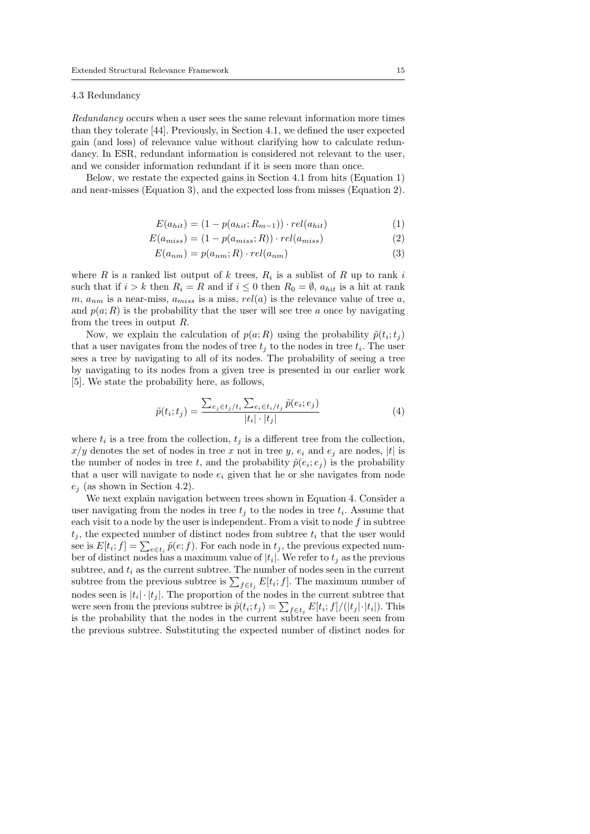#### 4.3 Redundancy

Redundancy occurs when a user sees the same relevant information more times than they tolerate [44]. Previously, in Section 4.1, we defined the user expected gain (and loss) of relevance value without clarifying how to calculate redundancy. In ESR, redundant information is considered not relevant to the user, and we consider information redundant if it is seen more than once.

Below, we restate the expected gains in Section 4.1 from hits (Equation 1) and near-misses (Equation 3), and the expected loss from misses (Equation 2).

$$
E(a_{hit}) = (1 - p(a_{hit}; R_{m-1})) \cdot rel(a_{hit}) \tag{1}
$$

$$
E(a_{miss}) = (1 - p(a_{miss}; R)) \cdot rel(a_{miss}) \tag{2}
$$

$$
E(a_{nm}) = p(a_{nm}; R) \cdot rel(a_{nm})
$$
\n(3)

where R is a ranked list output of k trees,  $R_i$  is a sublist of R up to rank i such that if  $i > k$  then  $R_i = R$  and if  $i \leq 0$  then  $R_0 = \emptyset$ ,  $a_{hit}$  is a hit at rank m,  $a_{nm}$  is a near-miss,  $a_{miss}$  is a miss,  $rel(a)$  is the relevance value of tree a, and  $p(a; R)$  is the probability that the user will see tree a once by navigating from the trees in output R.

Now, we explain the calculation of  $p(a;R)$  using the probability  $\tilde{p}(t_i;t_j)$ that a user navigates from the nodes of tree  $t_j$  to the nodes in tree  $t_i$ . The user sees a tree by navigating to all of its nodes. The probability of seeing a tree by navigating to its nodes from a given tree is presented in our earlier work [5]. We state the probability here, as follows,

$$
\tilde{p}(t_i; t_j) = \frac{\sum_{e_j \in t_j/t_i} \sum_{e_i \in t_i/t_j} \tilde{p}(e_i; e_j)}{|t_i| \cdot |t_j|} \tag{4}
$$

where  $t_i$  is a tree from the collection,  $t_j$  is a different tree from the collection,  $x/y$  denotes the set of nodes in tree x not in tree y,  $e_i$  and  $e_j$  are nodes, |t| is the number of nodes in tree t, and the probability  $\tilde{p}(e_i; e_j)$  is the probability that a user will navigate to node  $e_i$  given that he or she navigates from node  $e_j$  (as shown in Section 4.2).

We next explain navigation between trees shown in Equation 4. Consider a user navigating from the nodes in tree  $t_j$  to the nodes in tree  $t_i$ . Assume that each visit to a node by the user is independent. From a visit to node  $f$  in subtree  $t_i$ , the expected number of distinct nodes from subtree  $t_i$  that the user would see is  $E[t_i; f] = \sum_{e \in t_i} \tilde{p}(e; f)$ . For each node in  $t_j$ , the previous expected number of distinct nodes has a maximum value of  $|t_i|$ . We refer to  $t_j$  as the previous subtree, and  $t_i$  as the current subtree. The number of nodes seen in the current subtree from the previous subtree is  $\sum_{f \in t_j} E[t_i; f]$ . The maximum number of nodes seen is  $|t_i| \cdot |t_j|$ . The proportion of the nodes in the current subtree that were seen from the previous subtree is  $\tilde{p}(t_i; t_j) = \sum_{f \in t_j} E[t_i; f]/(|t_j| \cdot |t_i|)$ . This is the probability that the nodes in the current subtree have been seen from the previous subtree. Substituting the expected number of distinct nodes for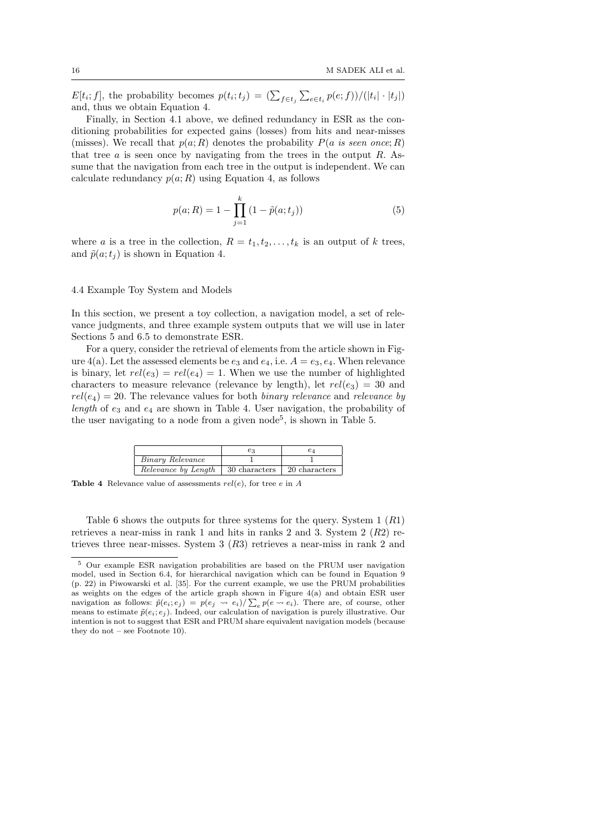$E[t_i; f]$ , the probability becomes  $p(t_i; t_j) = (\sum_{f \in t_j} \sum_{e \in t_i} p(e; f)) / (|t_i| \cdot |t_j|)$ and, thus we obtain Equation 4.

Finally, in Section 4.1 above, we defined redundancy in ESR as the conditioning probabilities for expected gains (losses) from hits and near-misses (misses). We recall that  $p(a; R)$  denotes the probability  $P(a \text{ is seen once}; R)$ that tree  $a$  is seen once by navigating from the trees in the output  $R$ . Assume that the navigation from each tree in the output is independent. We can calculate redundancy  $p(a; R)$  using Equation 4, as follows

$$
p(a;R) = 1 - \prod_{j=1}^{k} (1 - \tilde{p}(a; t_j))
$$
\n(5)

where a is a tree in the collection,  $R = t_1, t_2, \ldots, t_k$  is an output of k trees, and  $\tilde{p}(a;t_i)$  is shown in Equation 4.

# 4.4 Example Toy System and Models

In this section, we present a toy collection, a navigation model, a set of relevance judgments, and three example system outputs that we will use in later Sections 5 and 6.5 to demonstrate ESR.

For a query, consider the retrieval of elements from the article shown in Figure 4(a). Let the assessed elements be  $e_3$  and  $e_4$ , i.e.  $A = e_3, e_4$ . When relevance is binary, let  $rel(e_3) = rel(e_4) = 1$ . When we use the number of highlighted characters to measure relevance (relevance by length), let  $rel(e_3) = 30$  and  $rel(e_4) = 20$ . The relevance values for both *binary relevance* and *relevance* by length of  $e_3$  and  $e_4$  are shown in Table 4. User navigation, the probability of the user navigating to a node from a given node<sup>5</sup>, is shown in Table 5.

|                     | eз            | eл            |
|---------------------|---------------|---------------|
| Binary Relevance    |               |               |
| Relevance by Length | 30 characters | 20 characters |

**Table 4** Relevance value of assessments  $rel(e)$ , for tree e in A

Table 6 shows the outputs for three systems for the query. System  $1(R1)$ retrieves a near-miss in rank 1 and hits in ranks 2 and 3. System 2 (R2) retrieves three near-misses. System 3 (R3) retrieves a near-miss in rank 2 and

<sup>5</sup> Our example ESR navigation probabilities are based on the PRUM user navigation model, used in Section 6.4, for hierarchical navigation which can be found in Equation 9 (p. 22) in Piwowarski et al. [35]. For the current example, we use the PRUM probabilities as weights on the edges of the article graph shown in Figure 4(a) and obtain ESR user navigation as follows:  $\tilde{p}(e_i; e_j) = p(e_j \leadsto e_i) / \sum_e p(e \leadsto e_i)$ . There are, of course, other means to estimate  $\tilde{p}(e_i; e_j)$ . Indeed, our calculation of navigation is purely illustrative. Our intention is not to suggest that ESR and PRUM share equivalent navigation models (because they do not – see Footnote 10).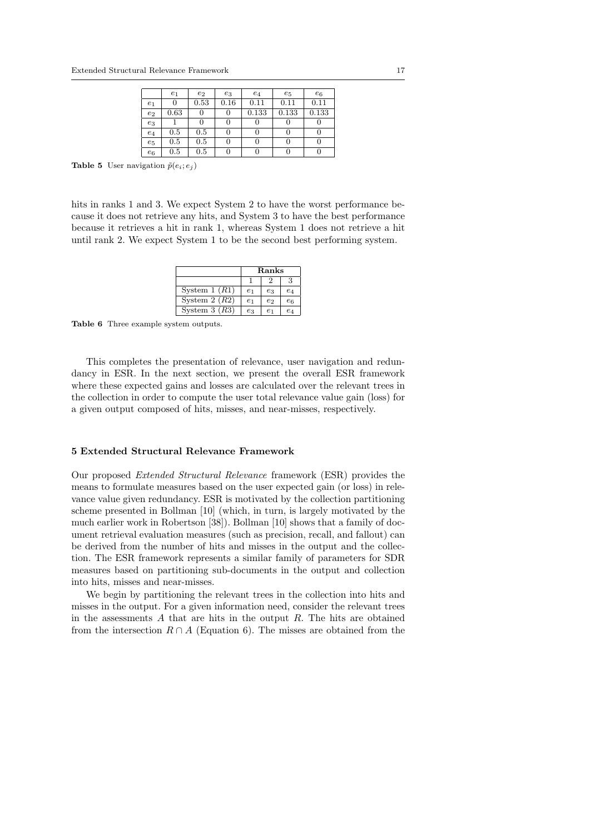|       | $e_1$ | $e_2$ | $e_3$ | $e_4$ | $e_5$ | $e_6$ |
|-------|-------|-------|-------|-------|-------|-------|
| $e_1$ | 0     | 0.53  | 0.16  | 0.11  | 0.11  | 0.11  |
| $e_2$ | 0.63  |       | 0     | 0.133 | 0.133 | 0.133 |
| $e_3$ |       |       | 0     | 0     | 0     | U     |
| $e_4$ | 0.5   | 0.5   |       | 0     | 0     |       |
| $e_5$ | 0.5   | 0.5   |       | 0     | 0     |       |
| $e_6$ | 0.5   | 0.5   | 0     | 0     | 0     |       |

**Table 5** User navigation  $\tilde{p}(e_i; e_j)$ 

hits in ranks 1 and 3. We expect System 2 to have the worst performance because it does not retrieve any hits, and System 3 to have the best performance because it retrieves a hit in rank 1, whereas System 1 does not retrieve a hit until rank 2. We expect System 1 to be the second best performing system.

|                | Ranks          |                |       |
|----------------|----------------|----------------|-------|
|                |                | 2              | 3     |
| System $1(R1)$ | e <sub>1</sub> | $e_3$          | $e_4$ |
| System $2(R2)$ | e <sub>1</sub> | e <sub>2</sub> | $e_6$ |
| System $3(R3)$ | $e_3$          | $e_1$          | $e_4$ |

Table 6 Three example system outputs.

This completes the presentation of relevance, user navigation and redundancy in ESR. In the next section, we present the overall ESR framework where these expected gains and losses are calculated over the relevant trees in the collection in order to compute the user total relevance value gain (loss) for a given output composed of hits, misses, and near-misses, respectively.

# 5 Extended Structural Relevance Framework

Our proposed Extended Structural Relevance framework (ESR) provides the means to formulate measures based on the user expected gain (or loss) in relevance value given redundancy. ESR is motivated by the collection partitioning scheme presented in Bollman [10] (which, in turn, is largely motivated by the much earlier work in Robertson [38]). Bollman [10] shows that a family of document retrieval evaluation measures (such as precision, recall, and fallout) can be derived from the number of hits and misses in the output and the collection. The ESR framework represents a similar family of parameters for SDR measures based on partitioning sub-documents in the output and collection into hits, misses and near-misses.

We begin by partitioning the relevant trees in the collection into hits and misses in the output. For a given information need, consider the relevant trees in the assessments  $A$  that are hits in the output  $R$ . The hits are obtained from the intersection  $R \cap A$  (Equation 6). The misses are obtained from the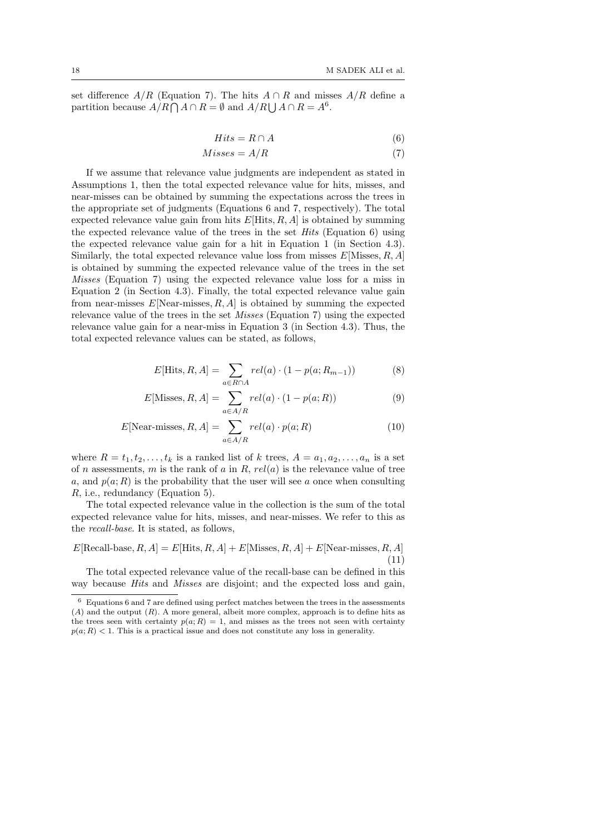set difference  $A/R$  (Equation 7). The hits  $A \cap R$  and misses  $A/R$  define a partition because  $A/R \bigcap A \cap R = \emptyset$  and  $A/R \bigcup A \cap R = A^6$ .

$$
Hits = R \cap A \tag{6}
$$

$$
Misses = A/R \tag{7}
$$

If we assume that relevance value judgments are independent as stated in Assumptions 1, then the total expected relevance value for hits, misses, and near-misses can be obtained by summing the expectations across the trees in the appropriate set of judgments (Equations 6 and 7, respectively). The total expected relevance value gain from hits  $E[Hits, R, A]$  is obtained by summing the expected relevance value of the trees in the set Hits (Equation 6) using the expected relevance value gain for a hit in Equation 1 (in Section 4.3). Similarly, the total expected relevance value loss from misses  $E[\text{Misses}, R, A]$ is obtained by summing the expected relevance value of the trees in the set Misses (Equation 7) using the expected relevance value loss for a miss in Equation 2 (in Section 4.3). Finally, the total expected relevance value gain from near-misses  $E[Near-misses, R, A]$  is obtained by summing the expected relevance value of the trees in the set Misses (Equation 7) using the expected relevance value gain for a near-miss in Equation 3 (in Section 4.3). Thus, the total expected relevance values can be stated, as follows,

$$
E[\text{Hits}, R, A] = \sum_{a \in R \cap A} rel(a) \cdot (1 - p(a; R_{m-1})) \tag{8}
$$

$$
E[\text{Misses}, R, A] = \sum_{a \in A/R} rel(a) \cdot (1 - p(a; R)) \tag{9}
$$

$$
E[\text{Near-misses}, R, A] = \sum_{a \in A/R} rel(a) \cdot p(a; R)
$$
 (10)

where  $R = t_1, t_2, \ldots, t_k$  is a ranked list of k trees,  $A = a_1, a_2, \ldots, a_n$  is a set of n assessments, m is the rank of a in R,  $rel(a)$  is the relevance value of tree a, and  $p(a; R)$  is the probability that the user will see a once when consulting R, i.e., redundancy (Equation 5).

The total expected relevance value in the collection is the sum of the total expected relevance value for hits, misses, and near-misses. We refer to this as the recall-base. It is stated, as follows,

$$
E[\text{Recall-base}, R, A] = E[\text{Hits}, R, A] + E[\text{Misses}, R, A] + E[\text{Near-misses}, R, A]
$$
\n(11)

The total expected relevance value of the recall-base can be defined in this way because *Hits* and *Misses* are disjoint; and the expected loss and gain,

 $6$  Equations 6 and 7 are defined using perfect matches between the trees in the assessments  $(A)$  and the output  $(R)$ . A more general, albeit more complex, approach is to define hits as the trees seen with certainty  $p(a; R) = 1$ , and misses as the trees not seen with certainty  $p(a; R) < 1$ . This is a practical issue and does not constitute any loss in generality.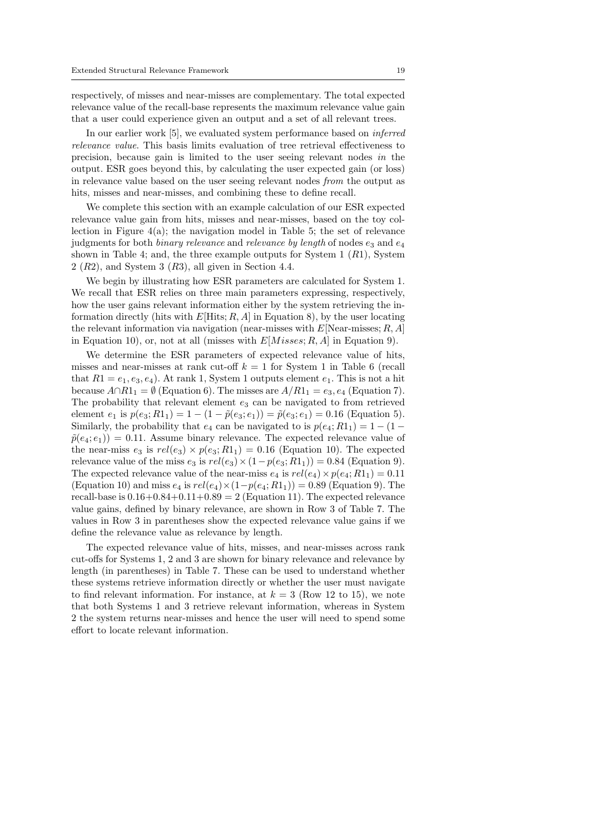respectively, of misses and near-misses are complementary. The total expected relevance value of the recall-base represents the maximum relevance value gain that a user could experience given an output and a set of all relevant trees.

In our earlier work [5], we evaluated system performance based on inferred relevance value. This basis limits evaluation of tree retrieval effectiveness to precision, because gain is limited to the user seeing relevant nodes in the output. ESR goes beyond this, by calculating the user expected gain (or loss) in relevance value based on the user seeing relevant nodes from the output as hits, misses and near-misses, and combining these to define recall.

We complete this section with an example calculation of our ESR expected relevance value gain from hits, misses and near-misses, based on the toy collection in Figure  $4(a)$ ; the navigation model in Table 5; the set of relevance judgments for both *binary relevance* and *relevance* by length of nodes  $e_3$  and  $e_4$ shown in Table 4; and, the three example outputs for System 1  $(R1)$ , System  $2(R2)$ , and System 3  $(R3)$ , all given in Section 4.4.

We begin by illustrating how ESR parameters are calculated for System 1. We recall that ESR relies on three main parameters expressing, respectively, how the user gains relevant information either by the system retrieving the information directly (hits with  $E[Hits; R, A]$  in Equation 8), by the user locating the relevant information via navigation (near-misses with  $E[\text{Near-misses}; R, A]$ ) in Equation 10), or, not at all (misses with  $E[Misses; R, A]$  in Equation 9).

We determine the ESR parameters of expected relevance value of hits, misses and near-misses at rank cut-off  $k = 1$  for System 1 in Table 6 (recall that  $R1 = e_1, e_3, e_4$ . At rank 1, System 1 outputs element  $e_1$ . This is not a hit because  $A \cap R1_1 = \emptyset$  (Equation 6). The misses are  $A/R1_1 = e_3, e_4$  (Equation 7). The probability that relevant element  $e_3$  can be navigated to from retrieved element  $e_1$  is  $p(e_3; R1_1) = 1 - (1 - \tilde{p}(e_3; e_1)) = \tilde{p}(e_3; e_1) = 0.16$  (Equation 5). Similarly, the probability that  $e_4$  can be navigated to is  $p(e_4; R1_1) = 1 - (1 \tilde{p}(e_4; e_1)$  = 0.11. Assume binary relevance. The expected relevance value of the near-miss  $e_3$  is  $rel(e_3) \times p(e_3; R1_1) = 0.16$  (Equation 10). The expected relevance value of the miss  $e_3$  is  $rel(e_3) \times (1-p(e_3; R1_1)) = 0.84$  (Equation 9). The expected relevance value of the near-miss  $e_4$  is  $rel(e_4) \times p(e_4; R1_1) = 0.11$ (Equation 10) and miss  $e_4$  is  $rel(e_4) \times (1-p(e_4; R1_1)) = 0.89$  (Equation 9). The recall-base is  $0.16+0.84+0.11+0.89 = 2$  (Equation 11). The expected relevance value gains, defined by binary relevance, are shown in Row 3 of Table 7. The values in Row 3 in parentheses show the expected relevance value gains if we define the relevance value as relevance by length.

The expected relevance value of hits, misses, and near-misses across rank cut-offs for Systems 1, 2 and 3 are shown for binary relevance and relevance by length (in parentheses) in Table 7. These can be used to understand whether these systems retrieve information directly or whether the user must navigate to find relevant information. For instance, at  $k = 3$  (Row 12 to 15), we note that both Systems 1 and 3 retrieve relevant information, whereas in System 2 the system returns near-misses and hence the user will need to spend some effort to locate relevant information.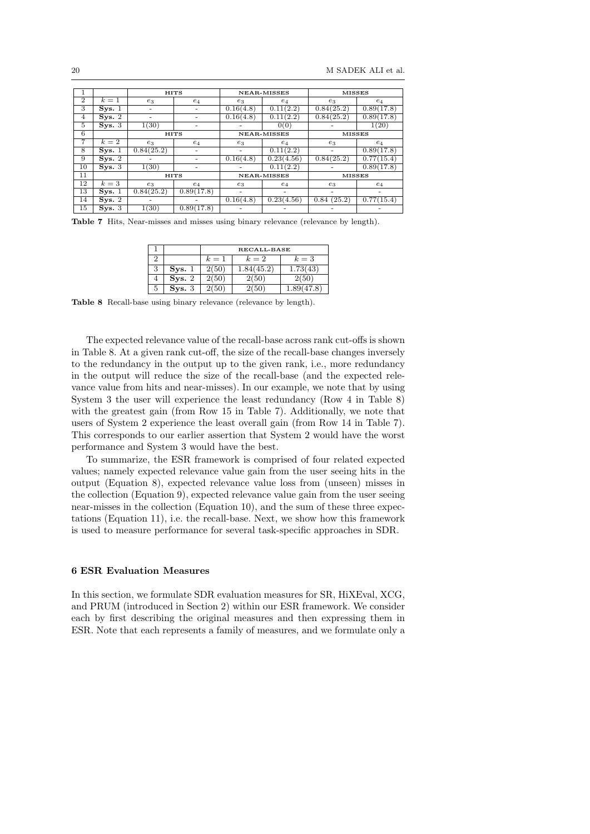|                 |        | <b>HITS</b> |            | NEAR-MISSES |             | <b>MISSES</b>            |            |
|-----------------|--------|-------------|------------|-------------|-------------|--------------------------|------------|
| $\overline{2}$  | $k=1$  | $e_3$       | $e_4$      | $e_3$       | $e_4$       | $e_3$                    | $e_4$      |
| 3               | Sys. 1 |             | ۰          | 0.16(4.8)   | 0.11(2.2)   | 0.84(25.2)               | 0.89(17.8) |
| $\overline{4}$  | Sys. 2 |             |            | 0.16(4.8)   | 0.11(2.2)   | 0.84(25.2)               | 0.89(17.8) |
| 5               | Sys. 3 | 1(30)       |            |             | 0(0)        |                          | 1(20)      |
| $6\overline{6}$ |        | <b>HITS</b> |            |             | NEAR-MISSES | <b>MISSES</b>            |            |
| 7               | $k=2$  | $e_3$       | $e_4$      | $e_3$       | $e_4$       | $e_3$                    | $e_4$      |
| 8               | Sys. 1 | 0.84(25.2)  | ۰          | -           | 0.11(2.2)   | $\overline{\phantom{a}}$ | 0.89(17.8) |
| 9               | Sys. 2 |             |            | 0.16(4.8)   | 0.23(4.56)  | 0.84(25.2)               | 0.77(15.4) |
| 10              | Sys. 3 | 1(30)       |            |             | 0.11(2.2)   |                          | 0.89(17.8) |
| 11              |        | <b>HITS</b> |            |             | NEAR-MISSES | <b>MISSES</b>            |            |
| 12              | $k=3$  | $e_3$       | $e_4$      | $e_3$       | $e_4$       | $e_3$                    | $e_4$      |
| 13              | Sys. 1 | 0.84(25.2)  | 0.89(17.8) | -           | ۰           | $\overline{\phantom{a}}$ | ۰          |
| 14              | Sys. 2 |             |            | 0.16(4.8)   | 0.23(4.56)  | (25.2)<br>0.84           | 0.77(15.4) |
| 15              | Sys.3  | 1(30)       | 0.89(17.8) |             |             |                          |            |

Table 7 Hits, Near-misses and misses using binary relevance (relevance by length).

|   |        | RECALL-BASE |            |            |  |  |
|---|--------|-------------|------------|------------|--|--|
| 2 |        | $k=1$       | $k=2$      | $k=3$      |  |  |
| 3 | Sys.1  | 2(50)       | 1.84(45.2) | 1.73(43)   |  |  |
|   | Sys. 2 | 2(50)       | 2(50)      | 2(50)      |  |  |
| 5 | Sys. 3 | 2(50)       | 2(50)      | 1.89(47.8) |  |  |

Table 8 Recall-base using binary relevance (relevance by length).

The expected relevance value of the recall-base across rank cut-offs is shown in Table 8. At a given rank cut-off, the size of the recall-base changes inversely to the redundancy in the output up to the given rank, i.e., more redundancy in the output will reduce the size of the recall-base (and the expected relevance value from hits and near-misses). In our example, we note that by using System 3 the user will experience the least redundancy (Row 4 in Table 8) with the greatest gain (from Row 15 in Table 7). Additionally, we note that users of System 2 experience the least overall gain (from Row 14 in Table 7). This corresponds to our earlier assertion that System 2 would have the worst performance and System 3 would have the best.

To summarize, the ESR framework is comprised of four related expected values; namely expected relevance value gain from the user seeing hits in the output (Equation 8), expected relevance value loss from (unseen) misses in the collection (Equation 9), expected relevance value gain from the user seeing near-misses in the collection (Equation 10), and the sum of these three expectations (Equation 11), i.e. the recall-base. Next, we show how this framework is used to measure performance for several task-specific approaches in SDR.

# 6 ESR Evaluation Measures

In this section, we formulate SDR evaluation measures for SR, HiXEval, XCG, and PRUM (introduced in Section 2) within our ESR framework. We consider each by first describing the original measures and then expressing them in ESR. Note that each represents a family of measures, and we formulate only a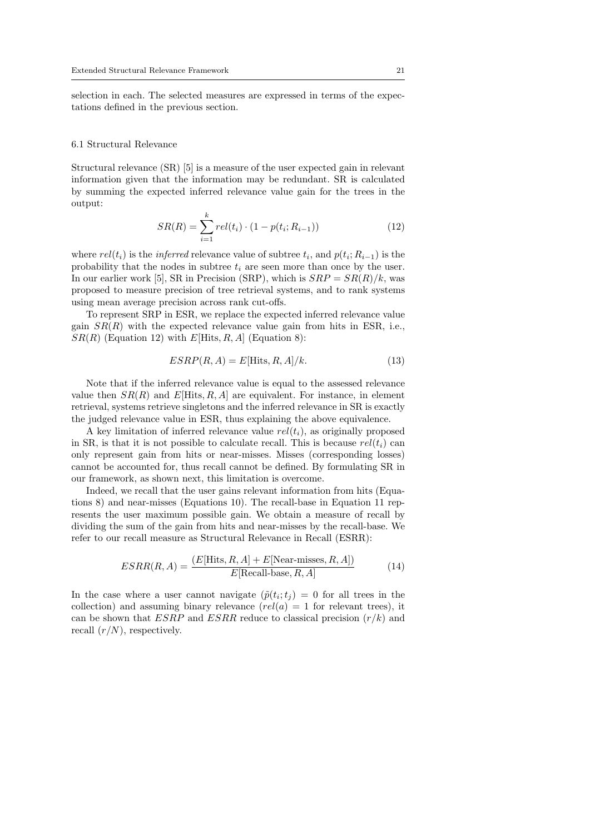selection in each. The selected measures are expressed in terms of the expectations defined in the previous section.

# 6.1 Structural Relevance

Structural relevance (SR) [5] is a measure of the user expected gain in relevant information given that the information may be redundant. SR is calculated by summing the expected inferred relevance value gain for the trees in the output:

$$
SR(R) = \sum_{i=1}^{k} rel(t_i) \cdot (1 - p(t_i; R_{i-1})) \tag{12}
$$

where  $rel(t_i)$  is the *inferred* relevance value of subtree  $t_i$ , and  $p(t_i; R_{i-1})$  is the probability that the nodes in subtree  $t_i$  are seen more than once by the user. In our earlier work [5], SR in Precision (SRP), which is  $SRP = SR(R)/k$ , was proposed to measure precision of tree retrieval systems, and to rank systems using mean average precision across rank cut-offs.

To represent SRP in ESR, we replace the expected inferred relevance value gain  $SR(R)$  with the expected relevance value gain from hits in ESR, i.e.,  $SR(R)$  (Equation 12) with E[Hits, R, A] (Equation 8):

$$
ESRP(R, A) = E[\text{Hits}, R, A]/k.
$$
\n(13)

Note that if the inferred relevance value is equal to the assessed relevance value then  $SR(R)$  and  $E[{\rm Hits}, R, A]$  are equivalent. For instance, in element retrieval, systems retrieve singletons and the inferred relevance in SR is exactly the judged relevance value in ESR, thus explaining the above equivalence.

A key limitation of inferred relevance value  $rel(t_i)$ , as originally proposed in SR, is that it is not possible to calculate recall. This is because  $rel(t_i)$  can only represent gain from hits or near-misses. Misses (corresponding losses) cannot be accounted for, thus recall cannot be defined. By formulating SR in our framework, as shown next, this limitation is overcome.

Indeed, we recall that the user gains relevant information from hits (Equations 8) and near-misses (Equations 10). The recall-base in Equation 11 represents the user maximum possible gain. We obtain a measure of recall by dividing the sum of the gain from hits and near-misses by the recall-base. We refer to our recall measure as Structural Relevance in Recall (ESRR):

$$
ESRR(R, A) = \frac{(E[\text{Hits}, R, A] + E[\text{Near-misses}, R, A])}{E[\text{Recall-base}, R, A]}
$$
(14)

In the case where a user cannot navigate  $(\tilde{p}(t_i; t_j) = 0$  for all trees in the collection) and assuming binary relevance  $rel(a) = 1$  for relevant trees), it can be shown that  $ESRP$  and  $ESRR$  reduce to classical precision  $(r/k)$  and recall  $(r/N)$ , respectively.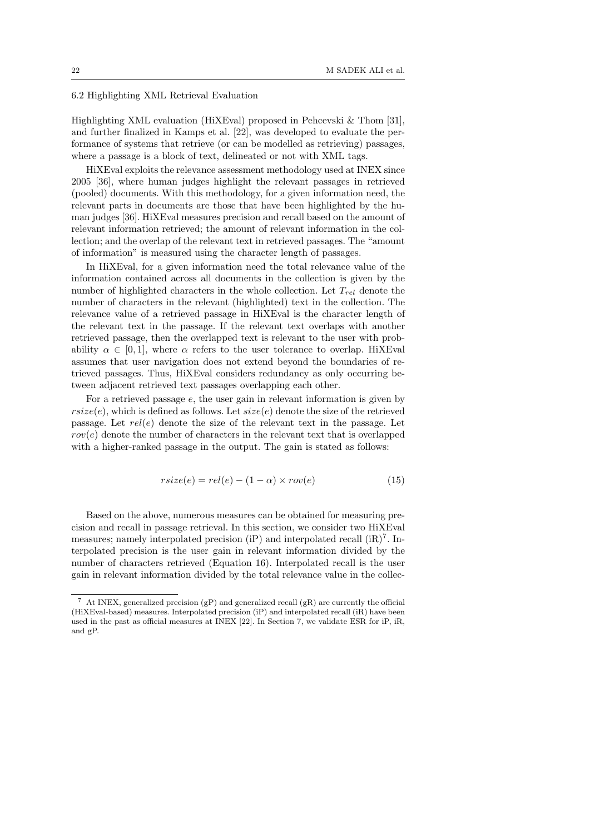# 6.2 Highlighting XML Retrieval Evaluation

Highlighting XML evaluation (HiXEval) proposed in Pehcevski & Thom [31], and further finalized in Kamps et al. [22], was developed to evaluate the performance of systems that retrieve (or can be modelled as retrieving) passages, where a passage is a block of text, delineated or not with XML tags.

HiXEval exploits the relevance assessment methodology used at INEX since 2005 [36], where human judges highlight the relevant passages in retrieved (pooled) documents. With this methodology, for a given information need, the relevant parts in documents are those that have been highlighted by the human judges [36]. HiXEval measures precision and recall based on the amount of relevant information retrieved; the amount of relevant information in the collection; and the overlap of the relevant text in retrieved passages. The "amount of information" is measured using the character length of passages.

In HiXEval, for a given information need the total relevance value of the information contained across all documents in the collection is given by the number of highlighted characters in the whole collection. Let  $T_{rel}$  denote the number of characters in the relevant (highlighted) text in the collection. The relevance value of a retrieved passage in HiXEval is the character length of the relevant text in the passage. If the relevant text overlaps with another retrieved passage, then the overlapped text is relevant to the user with probability  $\alpha \in [0, 1]$ , where  $\alpha$  refers to the user tolerance to overlap. HiXEval assumes that user navigation does not extend beyond the boundaries of retrieved passages. Thus, HiXEval considers redundancy as only occurring between adjacent retrieved text passages overlapping each other.

For a retrieved passage  $e$ , the user gain in relevant information is given by  $rsize(e)$ , which is defined as follows. Let  $size(e)$  denote the size of the retrieved passage. Let  $rel(e)$  denote the size of the relevant text in the passage. Let  $\text{row}(e)$  denote the number of characters in the relevant text that is overlapped with a higher-ranked passage in the output. The gain is stated as follows:

$$
rsize(e) = rel(e) - (1 - \alpha) \times rov(e) \tag{15}
$$

Based on the above, numerous measures can be obtained for measuring precision and recall in passage retrieval. In this section, we consider two HiXEval measures; namely interpolated precision  $(iP)$  and interpolated recall  $(iR)<sup>7</sup>$ . Interpolated precision is the user gain in relevant information divided by the number of characters retrieved (Equation 16). Interpolated recall is the user gain in relevant information divided by the total relevance value in the collec-

<sup>&</sup>lt;sup>7</sup> At INEX, generalized precision (gP) and generalized recall (gR) are currently the official (HiXEval-based) measures. Interpolated precision (iP) and interpolated recall (iR) have been used in the past as official measures at INEX [22]. In Section 7, we validate ESR for iP, iR, and gP.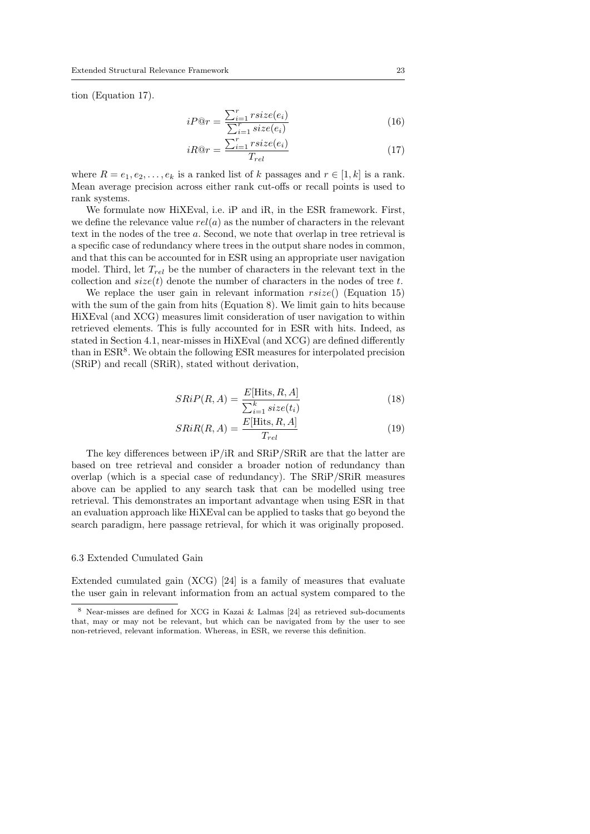tion (Equation 17).

$$
iP@r = \frac{\sum_{i=1}^{r} rsize(e_i)}{\sum_{i=1}^{r} size(e_i)}
$$
\n(16)

$$
i \mathbb{R} \mathbb{Q} r = \frac{\sum_{i=1}^{r} r size(e_i)}{T_{rel}} \tag{17}
$$

where  $R = e_1, e_2, \ldots, e_k$  is a ranked list of k passages and  $r \in [1, k]$  is a rank. Mean average precision across either rank cut-offs or recall points is used to rank systems.

We formulate now HiXEval, i.e. iP and iR, in the ESR framework. First, we define the relevance value  $rel(a)$  as the number of characters in the relevant text in the nodes of the tree a. Second, we note that overlap in tree retrieval is a specific case of redundancy where trees in the output share nodes in common, and that this can be accounted for in ESR using an appropriate user navigation model. Third, let  $T_{rel}$  be the number of characters in the relevant text in the collection and  $size(t)$  denote the number of characters in the nodes of tree t.

We replace the user gain in relevant information  $rsize()$  (Equation 15) with the sum of the gain from hits (Equation 8). We limit gain to hits because HiXEval (and XCG) measures limit consideration of user navigation to within retrieved elements. This is fully accounted for in ESR with hits. Indeed, as stated in Section 4.1, near-misses in HiXEval (and XCG) are defined differently than in ESR<sup>8</sup>. We obtain the following ESR measures for interpolated precision (SRiP) and recall (SRiR), stated without derivation,

$$
SRiP(R, A) = \frac{E[\text{Hits}, R, A]}{\sum_{i=1}^{k} size(t_i)}
$$
\n(18)

$$
SRR(R, A) = \frac{E[\text{Hits}, R, A]}{T_{rel}} \tag{19}
$$

The key differences between iP/iR and SRiP/SRiR are that the latter are based on tree retrieval and consider a broader notion of redundancy than overlap (which is a special case of redundancy). The SRiP/SRiR measures above can be applied to any search task that can be modelled using tree retrieval. This demonstrates an important advantage when using ESR in that an evaluation approach like HiXEval can be applied to tasks that go beyond the search paradigm, here passage retrieval, for which it was originally proposed.

# 6.3 Extended Cumulated Gain

Extended cumulated gain (XCG) [24] is a family of measures that evaluate the user gain in relevant information from an actual system compared to the

<sup>8</sup> Near-misses are defined for XCG in Kazai & Lalmas [24] as retrieved sub-documents that, may or may not be relevant, but which can be navigated from by the user to see non-retrieved, relevant information. Whereas, in ESR, we reverse this definition.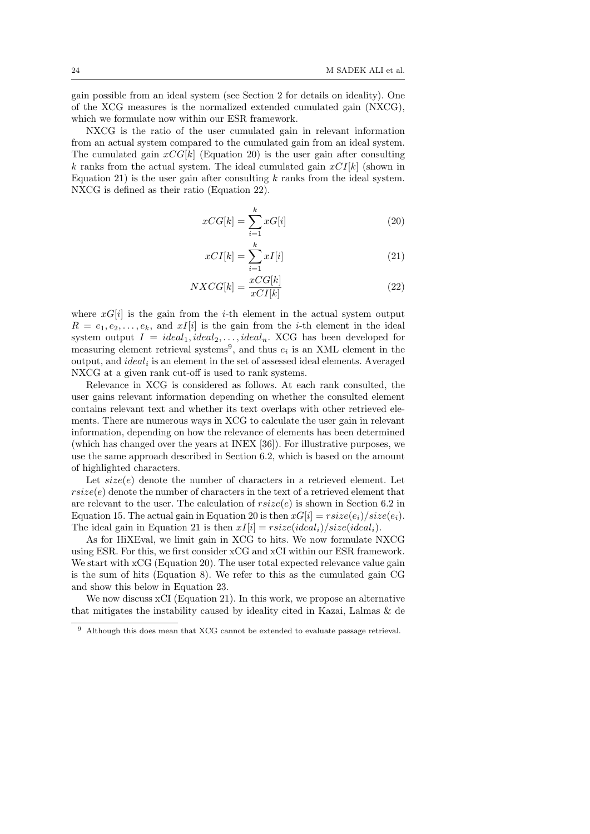gain possible from an ideal system (see Section 2 for details on ideality). One of the XCG measures is the normalized extended cumulated gain (NXCG), which we formulate now within our ESR framework.

NXCG is the ratio of the user cumulated gain in relevant information from an actual system compared to the cumulated gain from an ideal system. The cumulated gain  $xCG[k]$  (Equation 20) is the user gain after consulting k ranks from the actual system. The ideal cumulated gain  $xCI[k]$  (shown in Equation 21) is the user gain after consulting  $k$  ranks from the ideal system. NXCG is defined as their ratio (Equation 22).

$$
xCG[k] = \sum_{i=1}^{k} xG[i] \tag{20}
$$

$$
xCI[k] = \sum_{i=1}^{k} xI[i] \tag{21}
$$

$$
NXCG[k] = \frac{xCG[k]}{xCI[k]} \tag{22}
$$

where  $xG[i]$  is the gain from the *i*-th element in the actual system output  $R = e_1, e_2, \ldots, e_k$ , and  $xI[i]$  is the gain from the *i*-th element in the ideal system output  $I = ideal_1, ideal_2, \ldots, ideal_n$ . XCG has been developed for measuring element retrieval systems<sup>9</sup>, and thus  $e_i$  is an XML element in the output, and  $ideal_i$  is an element in the set of assessed ideal elements. Averaged NXCG at a given rank cut-off is used to rank systems.

Relevance in XCG is considered as follows. At each rank consulted, the user gains relevant information depending on whether the consulted element contains relevant text and whether its text overlaps with other retrieved elements. There are numerous ways in XCG to calculate the user gain in relevant information, depending on how the relevance of elements has been determined (which has changed over the years at INEX [36]). For illustrative purposes, we use the same approach described in Section 6.2, which is based on the amount of highlighted characters.

Let  $size(e)$  denote the number of characters in a retrieved element. Let  $rsize(e)$  denote the number of characters in the text of a retrieved element that are relevant to the user. The calculation of  $rsize(e)$  is shown in Section 6.2 in Equation 15. The actual gain in Equation 20 is then  $xG[i] = rsize(e_i)/size(e_i)$ . The ideal gain in Equation 21 is then  $xI[i] = rsize(ideal_i)/size(ideal_i)$ .

As for HiXEval, we limit gain in XCG to hits. We now formulate NXCG using ESR. For this, we first consider xCG and xCI within our ESR framework. We start with xCG (Equation 20). The user total expected relevance value gain is the sum of hits (Equation 8). We refer to this as the cumulated gain CG and show this below in Equation 23.

We now discuss xCI (Equation 21). In this work, we propose an alternative that mitigates the instability caused by ideality cited in Kazai, Lalmas & de

<sup>9</sup> Although this does mean that XCG cannot be extended to evaluate passage retrieval.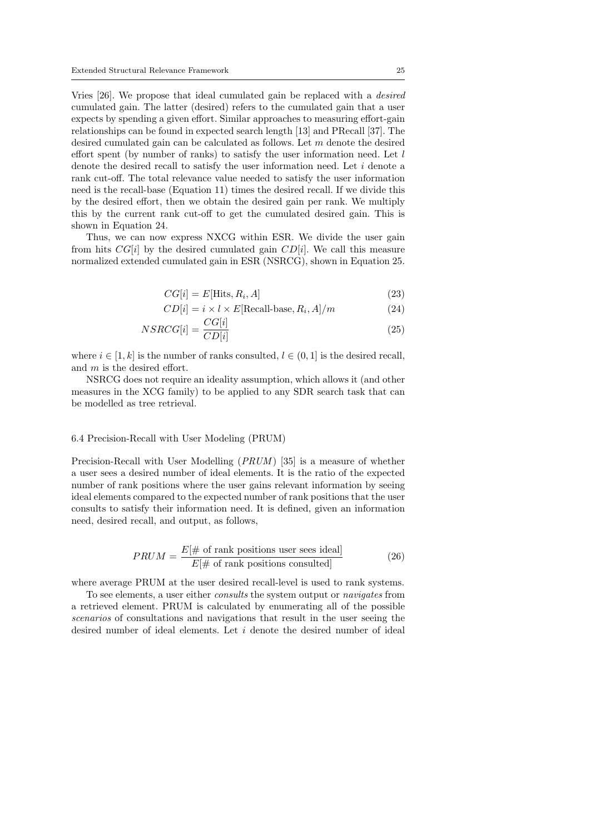Vries [26]. We propose that ideal cumulated gain be replaced with a desired cumulated gain. The latter (desired) refers to the cumulated gain that a user expects by spending a given effort. Similar approaches to measuring effort-gain relationships can be found in expected search length [13] and PRecall [37]. The desired cumulated gain can be calculated as follows. Let m denote the desired effort spent (by number of ranks) to satisfy the user information need. Let  $l$ denote the desired recall to satisfy the user information need. Let i denote a rank cut-off. The total relevance value needed to satisfy the user information need is the recall-base (Equation 11) times the desired recall. If we divide this by the desired effort, then we obtain the desired gain per rank. We multiply this by the current rank cut-off to get the cumulated desired gain. This is shown in Equation 24.

Thus, we can now express NXCG within ESR. We divide the user gain from hits  $CG[i]$  by the desired cumulated gain  $CD[i]$ . We call this measure normalized extended cumulated gain in ESR (NSRCG), shown in Equation 25.

$$
CG[i] = E[{\text{Hits}}, R_i, A]
$$
\n(23)

$$
CD[i] = i \times l \times E[\text{Recall-base}, R_i, A]/m \tag{24}
$$

$$
NSRCG[i] = \frac{CG[i]}{CD[i]} \tag{25}
$$

where  $i \in [1, k]$  is the number of ranks consulted,  $l \in (0, 1]$  is the desired recall, and m is the desired effort.

NSRCG does not require an ideality assumption, which allows it (and other measures in the XCG family) to be applied to any SDR search task that can be modelled as tree retrieval.

# 6.4 Precision-Recall with User Modeling (PRUM)

Precision-Recall with User Modelling  $(PRUM)$  [35] is a measure of whether a user sees a desired number of ideal elements. It is the ratio of the expected number of rank positions where the user gains relevant information by seeing ideal elements compared to the expected number of rank positions that the user consults to satisfy their information need. It is defined, given an information need, desired recall, and output, as follows,

$$
PRUM = \frac{E[\text{# of rank positions user sees ideal}]}{E[\text{# of rank positions consulted}]}
$$
(26)

where average PRUM at the user desired recall-level is used to rank systems.

To see elements, a user either consults the system output or navigates from a retrieved element. PRUM is calculated by enumerating all of the possible scenarios of consultations and navigations that result in the user seeing the desired number of ideal elements. Let  $i$  denote the desired number of ideal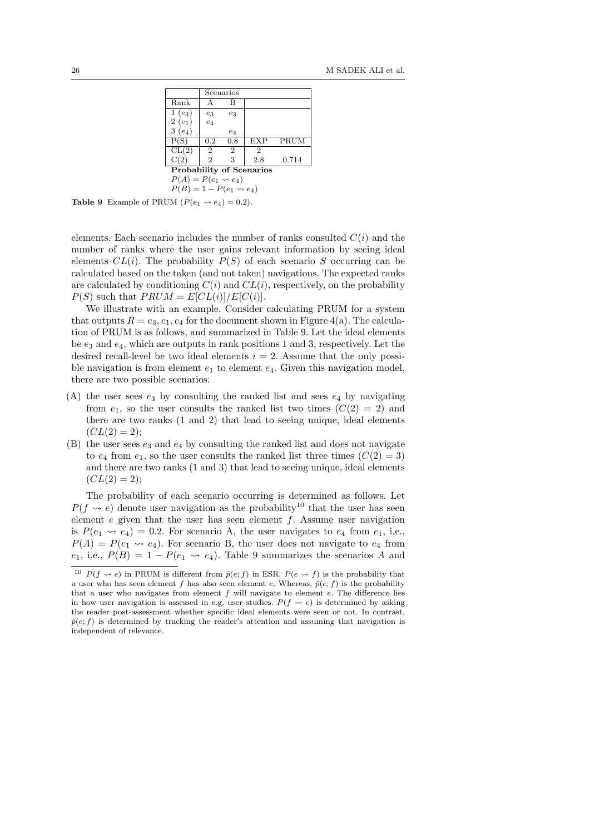

**Table 9** Example of PRUM  $(P(e_1 \rightsquigarrow e_4) = 0.2)$ .

elements. Each scenario includes the number of ranks consulted  $C(i)$  and the number of ranks where the user gains relevant information by seeing ideal elements  $CL(i)$ . The probability  $P(S)$  of each scenario S occurring can be calculated based on the taken (and not taken) navigations. The expected ranks are calculated by conditioning  $C(i)$  and  $CL(i)$ , respectively, on the probability  $P(S)$  such that  $PRUM = E[CL(i)]/E[C(i)].$ 

We illustrate with an example. Consider calculating PRUM for a system that outputs  $R = e_3, e_1, e_4$  for the document shown in Figure 4(a). The calculation of PRUM is as follows, and summarized in Table 9. Let the ideal elements be  $e_3$  and  $e_4$ , which are outputs in rank positions 1 and 3, respectively. Let the desired recall-level be two ideal elements  $i = 2$ . Assume that the only possible navigation is from element  $e_1$  to element  $e_4$ . Given this navigation model, there are two possible scenarios:

- (A) the user sees  $e_3$  by consulting the ranked list and sees  $e_4$  by navigating from  $e_1$ , so the user consults the ranked list two times  $(C(2) = 2)$  and there are two ranks (1 and 2) that lead to seeing unique, ideal elements  $(CL(2) = 2);$
- (B) the user sees  $e_3$  and  $e_4$  by consulting the ranked list and does not navigate to  $e_4$  from  $e_1$ , so the user consults the ranked list three times  $(C(2) = 3)$ and there are two ranks (1 and 3) that lead to seeing unique, ideal elements  $CL(2) = 2);$

The probability of each scenario occurring is determined as follows. Let  $P(f \leadsto e)$  denote user navigation as the probability<sup>10</sup> that the user has seen element  $e$  given that the user has seen element  $f$ . Assume user navigation is  $P(e_1 \rightarrow e_4) = 0.2$ . For scenario A, the user navigates to  $e_4$  from  $e_1$ , i.e.,  $P(A) = P(e_1 \rightsquigarrow e_4)$ . For scenario B, the user does not navigate to  $e_4$  from e<sub>1</sub>, i.e.,  $P(B) = 1 - P(e_1 \leadsto e_4)$ . Table 9 summarizes the scenarios A and

<sup>&</sup>lt;sup>10</sup>  $P(f \rightsquigarrow e)$  in PRUM is different from  $\tilde{p}(e; f)$  in ESR.  $P(e \rightsquigarrow f)$  is the probability that a user who has seen element f has also seen element e. Whereas,  $\tilde{p}(e; f)$  is the probability that a user who navigates from element  $f$  will navigate to element  $e$ . The difference lies in how user navigation is assessed in e.g. user studies.  $P(f \rightsquigarrow e)$  is determined by asking the reader post-assessment whether specific ideal elements were seen or not. In contrast,  $\tilde{p}(e; f)$  is determined by tracking the reader's attention and assuming that navigation is independent of relevance.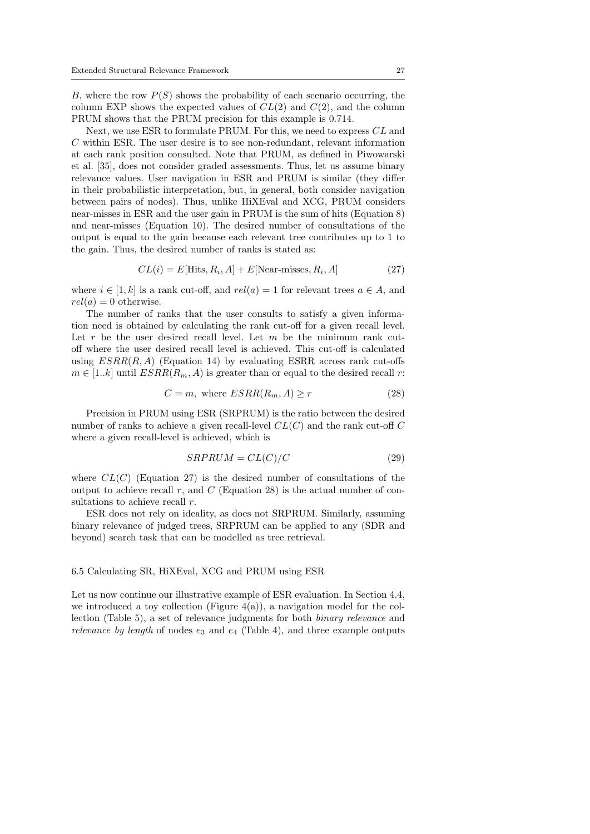B, where the row  $P(S)$  shows the probability of each scenario occurring, the column EXP shows the expected values of  $CL(2)$  and  $C(2)$ , and the column PRUM shows that the PRUM precision for this example is 0.714.

Next, we use ESR to formulate PRUM. For this, we need to express  $CL$  and C within ESR. The user desire is to see non-redundant, relevant information at each rank position consulted. Note that PRUM, as defined in Piwowarski et al. [35], does not consider graded assessments. Thus, let us assume binary relevance values. User navigation in ESR and PRUM is similar (they differ in their probabilistic interpretation, but, in general, both consider navigation between pairs of nodes). Thus, unlike HiXEval and XCG, PRUM considers near-misses in ESR and the user gain in PRUM is the sum of hits (Equation 8) and near-misses (Equation 10). The desired number of consultations of the output is equal to the gain because each relevant tree contributes up to 1 to the gain. Thus, the desired number of ranks is stated as:

$$
CL(i) = E[{\text{Hits}}, R_i, A] + E[{\text{Near-misses}}, R_i, A]
$$
\n(27)

where  $i \in [1, k]$  is a rank cut-off, and  $rel(a) = 1$  for relevant trees  $a \in A$ , and  $rel(a) = 0$  otherwise.

The number of ranks that the user consults to satisfy a given information need is obtained by calculating the rank cut-off for a given recall level. Let r be the user desired recall level. Let  $m$  be the minimum rank cutoff where the user desired recall level is achieved. This cut-off is calculated using  $ESRR(R, A)$  (Equation 14) by evaluating ESRR across rank cut-offs  $m \in [1..k]$  until  $ESRR(R_m, A)$  is greater than or equal to the desired recall r:

$$
C = m, \text{ where } ESRR(R_m, A) \ge r \tag{28}
$$

Precision in PRUM using ESR (SRPRUM) is the ratio between the desired number of ranks to achieve a given recall-level  $CL(C)$  and the rank cut-off C where a given recall-level is achieved, which is

$$
SRPRUM = CL(C)/C \tag{29}
$$

where  $CL(C)$  (Equation 27) is the desired number of consultations of the output to achieve recall  $r$ , and  $C$  (Equation 28) is the actual number of consultations to achieve recall  $r$ .

ESR does not rely on ideality, as does not SRPRUM. Similarly, assuming binary relevance of judged trees, SRPRUM can be applied to any (SDR and beyond) search task that can be modelled as tree retrieval.

# 6.5 Calculating SR, HiXEval, XCG and PRUM using ESR

Let us now continue our illustrative example of ESR evaluation. In Section 4.4, we introduced a toy collection (Figure 4(a)), a navigation model for the collection (Table 5), a set of relevance judgments for both binary relevance and relevance by length of nodes  $e_3$  and  $e_4$  (Table 4), and three example outputs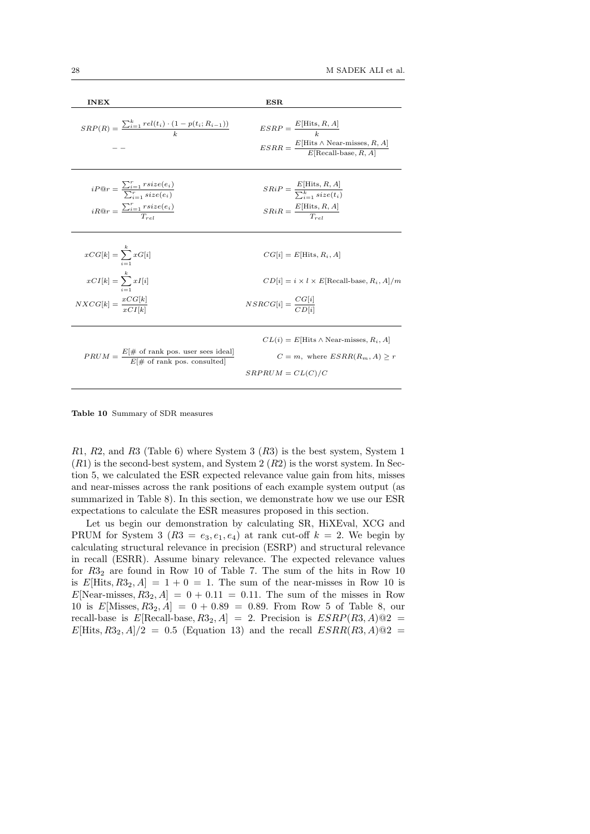| <b>INEX</b>                                                                                             |                                                                                                                          | ESR                              |                                                                                                                                           |
|---------------------------------------------------------------------------------------------------------|--------------------------------------------------------------------------------------------------------------------------|----------------------------------|-------------------------------------------------------------------------------------------------------------------------------------------|
|                                                                                                         | $SRP(R) = \frac{\sum_{i=1}^{k} rel(t_i) \cdot (1-p(t_i; R_{i-1}))}{h}$                                                   |                                  | $ESRP = \frac{E[{\rm Hits}, R, A]}{L}$<br>$ESRR = \frac{E[{\text{Hits} \wedge \text{Near-misses}, R, A}]}{E[{\text{Recall-base}, R, A]}}$ |
|                                                                                                         | $iP@r = \frac{\sum_{i=1}^{r} rsize(e_i)}{\sum_{i=1}^{r} size(e_i)}$<br>$iR@r = \frac{\sum_{i=1}^{r}rsize(e_i)}{T_{rel}}$ |                                  | $SRiP = \frac{E[\text{Hits}, R, A]}{\sum_{i=1}^{k} size(t_i)}$<br>$S RiR = \frac{E[{\text{Hits}}, R, A]}{T_{rel}}$                        |
| $xCG[k] = \sum_{i=1}^{k} xG[i]$<br>$xCI[k] = \sum_{i=1}^{k} xI[i]$<br>$NXCG[k] = \frac{xCG[k]}{rCI[k]}$ |                                                                                                                          | $NSRCG[i] = \frac{CG[i]}{CD[i]}$ | $CG[i] = E[{\rm Hits}, R_i, A]$<br>$CD[i] = i \times l \times E[\text{Recall-base}, R_i, A]/m$                                            |
|                                                                                                         | $\label{eq:RUM} PRUM = \frac{E[\text{\# of rank pos. user sees ideal}]}{E[\text{\# of rank pos. consulted}]}$            | $SRPRUM = CL(C)/C$               | $CL(i) = E[{\text{Hits} \wedge \text{Near-misses}, R_i, A}]$<br>$C = m$ , where $ESRR(R_m, A) > r$                                        |

Table 10 Summary of SDR measures

 $R1, R2,$  and  $R3$  (Table 6) where System 3  $(R3)$  is the best system, System 1  $(R1)$  is the second-best system, and System 2  $(R2)$  is the worst system. In Section 5, we calculated the ESR expected relevance value gain from hits, misses and near-misses across the rank positions of each example system output (as summarized in Table 8). In this section, we demonstrate how we use our ESR expectations to calculate the ESR measures proposed in this section.

Let us begin our demonstration by calculating SR, HiXEval, XCG and PRUM for System 3 ( $R3 = e_3, e_1, e_4$ ) at rank cut-off  $k = 2$ . We begin by calculating structural relevance in precision (ESRP) and structural relevance in recall (ESRR). Assume binary relevance. The expected relevance values for R3<sup>2</sup> are found in Row 10 of Table 7. The sum of the hits in Row 10 is  $E[{\rm Hits}, R3_2, A] = 1 + 0 = 1$ . The sum of the near-misses in Row 10 is  $E[\text{Near-misses}, R3_2, A] = 0 + 0.11 = 0.11$ . The sum of the misses in Row 10 is  $E[\text{Misses}, R3_2, A] = 0 + 0.89 = 0.89$ . From Row 5 of Table 8, our recall-base is  $E[\text{Recall-base}, R3_2, A] = 2$ . Precision is  $ESRP(R3, A)@2 =$  $E[\text{Hits}, R3_2, A]/2 = 0.5$  (Equation 13) and the recall  $ESRR(R3, A)@2 =$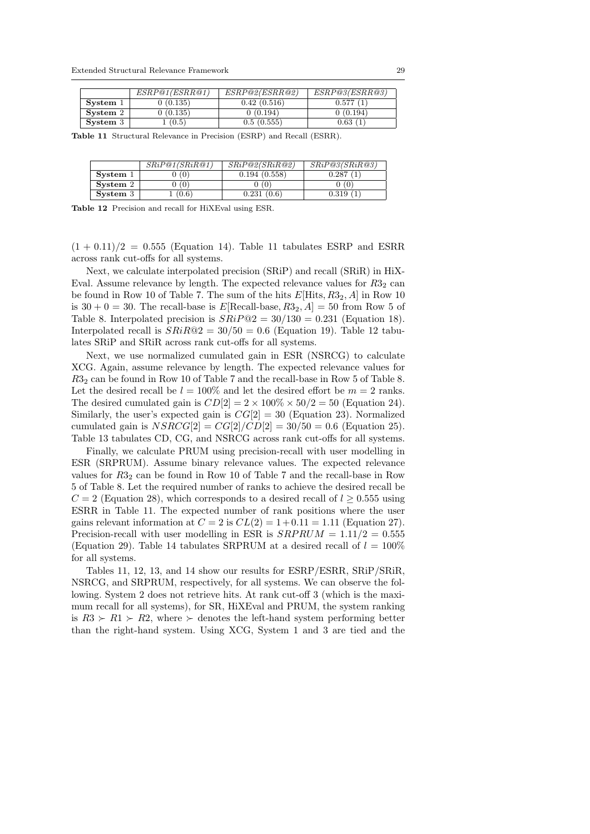|          | ESRP@1(ESRR@1) | <i>ESRP@2(ESRR@2)</i> | ESRP@3(ESRR@3) |
|----------|----------------|-----------------------|----------------|
| System 1 | 9(0.135)       | 0.42(0.516)           | 0.577(1)       |
| System 2 | 9(0.135)       | 0(0.194)              | 0 (0.194)      |
| System 3 | (0.5)          | 0.5(0.555)            | 0.63(1)        |

Table 11 Structural Relevance in Precision (ESRP) and Recall (ESRR).

|          | SRiP@1(SRiR@1) | SRiP@2(SRiR@2) | SRiP@3(SRiR@3) |
|----------|----------------|----------------|----------------|
| System 1 | (0)            | 0.194(0.558)   | 0.287(1)       |
| System 2 | (0)            | (0)            | (0)            |
| System 3 | (0.6)          | 0.231(0.6)     | 0.319(1)       |

Table 12 Precision and recall for HiXEval using ESR.

 $(1 + 0.11)/2 = 0.555$  (Equation 14). Table 11 tabulates ESRP and ESRR across rank cut-offs for all systems.

Next, we calculate interpolated precision (SRiP) and recall (SRiR) in HiX-Eval. Assume relevance by length. The expected relevance values for  $R3<sub>2</sub>$  can be found in Row 10 of Table 7. The sum of the hits  $E[\text{Hits}, R3_2, A]$  in Row 10 is  $30 + 0 = 30$ . The recall-base is  $E[\text{Recall-base}, R3_2, A] = 50$  from Row 5 of Table 8. Interpolated precision is  $SRiP@2 = 30/130 = 0.231$  (Equation 18). Interpolated recall is  $SRiR@2 = 30/50 = 0.6$  (Equation 19). Table 12 tabulates SRiP and SRiR across rank cut-offs for all systems.

Next, we use normalized cumulated gain in ESR (NSRCG) to calculate XCG. Again, assume relevance by length. The expected relevance values for R3<sup>2</sup> can be found in Row 10 of Table 7 and the recall-base in Row 5 of Table 8. Let the desired recall be  $l = 100\%$  and let the desired effort be  $m = 2$  ranks. The desired cumulated gain is  $CD[2] = 2 \times 100\% \times 50/2 = 50$  (Equation 24). Similarly, the user's expected gain is  $CG[2] = 30$  (Equation 23). Normalized cumulated gain is  $NSRCG[2] = CG[2]/CD[2] = 30/50 = 0.6$  (Equation 25). Table 13 tabulates CD, CG, and NSRCG across rank cut-offs for all systems.

Finally, we calculate PRUM using precision-recall with user modelling in ESR (SRPRUM). Assume binary relevance values. The expected relevance values for  $R3<sub>2</sub>$  can be found in Row 10 of Table 7 and the recall-base in Row 5 of Table 8. Let the required number of ranks to achieve the desired recall be  $C = 2$  (Equation 28), which corresponds to a desired recall of  $l \geq 0.555$  using ESRR in Table 11. The expected number of rank positions where the user gains relevant information at  $C = 2$  is  $CL(2) = 1 + 0.11 = 1.11$  (Equation 27). Precision-recall with user modelling in ESR is  $SRPRUM = 1.11/2 = 0.555$ (Equation 29). Table 14 tabulates SRPRUM at a desired recall of  $l = 100\%$ for all systems.

Tables 11, 12, 13, and 14 show our results for ESRP/ESRR, SRiP/SRiR, NSRCG, and SRPRUM, respectively, for all systems. We can observe the following. System 2 does not retrieve hits. At rank cut-off 3 (which is the maximum recall for all systems), for SR, HiXEval and PRUM, the system ranking is  $R3 \succ R1 \succ R2$ , where  $\succ$  denotes the left-hand system performing better than the right-hand system. Using XCG, System 1 and 3 are tied and the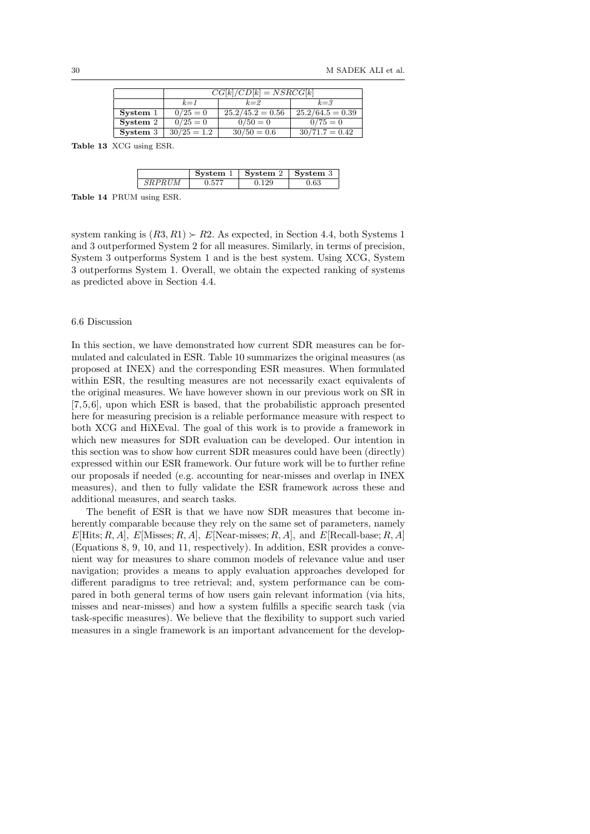|          | $CG[k]/CD[k] = NSRCG[k]$ |                    |                         |
|----------|--------------------------|--------------------|-------------------------|
|          | $k=1$                    | $k=2$              | $k=3$                   |
| System 1 | $0/25=0$                 | $25.2/45.2 = 0.56$ | $25.2/64.5 = 0.39$      |
| System 2 | $0/25=0$                 | $0/50 = 0$         | $0/75=0$                |
| System 3 | $30/25 = 1.2$            | $30/50 = 0.6$      | $\sqrt{30}/71.7 = 0.42$ |

Table 13 XCG using ESR.

| $\,{}^{\circ}\!RPRUM$<br>. 1577<br>በ 190 |  | System $1 \mid$ System $2 \mid$ System 3 |  |
|------------------------------------------|--|------------------------------------------|--|
|                                          |  |                                          |  |

Table 14 PRUM using ESR.

system ranking is  $(R3, R1) \succ R2$ . As expected, in Section 4.4, both Systems 1 and 3 outperformed System 2 for all measures. Similarly, in terms of precision, System 3 outperforms System 1 and is the best system. Using XCG, System 3 outperforms System 1. Overall, we obtain the expected ranking of systems as predicted above in Section 4.4.

#### 6.6 Discussion

In this section, we have demonstrated how current SDR measures can be formulated and calculated in ESR. Table 10 summarizes the original measures (as proposed at INEX) and the corresponding ESR measures. When formulated within ESR, the resulting measures are not necessarily exact equivalents of the original measures. We have however shown in our previous work on SR in [7, 5, 6], upon which ESR is based, that the probabilistic approach presented here for measuring precision is a reliable performance measure with respect to both XCG and HiXEval. The goal of this work is to provide a framework in which new measures for SDR evaluation can be developed. Our intention in this section was to show how current SDR measures could have been (directly) expressed within our ESR framework. Our future work will be to further refine our proposals if needed (e.g. accounting for near-misses and overlap in INEX measures), and then to fully validate the ESR framework across these and additional measures, and search tasks.

The benefit of ESR is that we have now SDR measures that become inherently comparable because they rely on the same set of parameters, namely  $E[{\rm Hits}; R, A], E[{\rm Mises}; R, A], E[{\rm Near-mises}; R, A],$  and  $E[{\rm Recall\text{-}base}; R, A]$ (Equations 8, 9, 10, and 11, respectively). In addition, ESR provides a convenient way for measures to share common models of relevance value and user navigation; provides a means to apply evaluation approaches developed for different paradigms to tree retrieval; and, system performance can be compared in both general terms of how users gain relevant information (via hits, misses and near-misses) and how a system fulfills a specific search task (via task-specific measures). We believe that the flexibility to support such varied measures in a single framework is an important advancement for the develop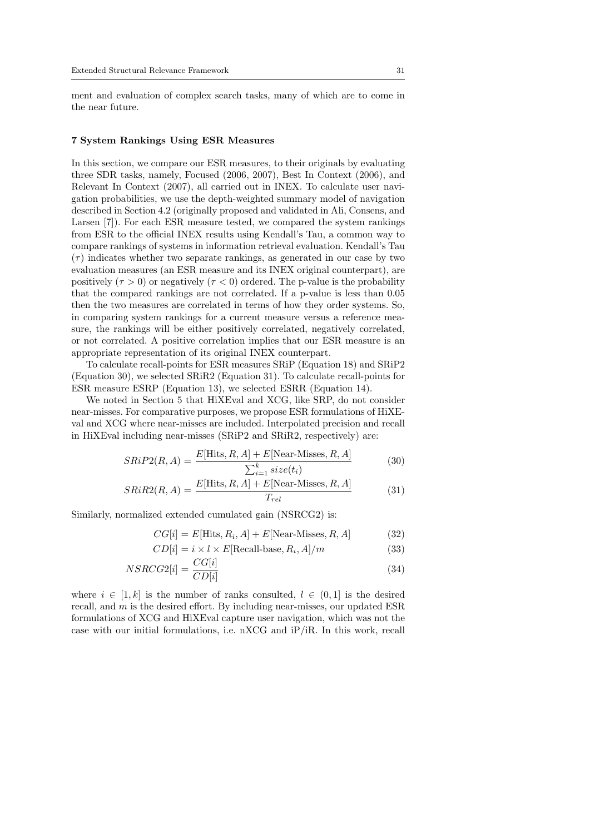ment and evaluation of complex search tasks, many of which are to come in the near future.

# 7 System Rankings Using ESR Measures

In this section, we compare our ESR measures, to their originals by evaluating three SDR tasks, namely, Focused (2006, 2007), Best In Context (2006), and Relevant In Context (2007), all carried out in INEX. To calculate user navigation probabilities, we use the depth-weighted summary model of navigation described in Section 4.2 (originally proposed and validated in Ali, Consens, and Larsen [7]). For each ESR measure tested, we compared the system rankings from ESR to the official INEX results using Kendall's Tau, a common way to compare rankings of systems in information retrieval evaluation. Kendall's Tau  $(\tau)$  indicates whether two separate rankings, as generated in our case by two evaluation measures (an ESR measure and its INEX original counterpart), are positively  $(\tau > 0)$  or negatively  $(\tau < 0)$  ordered. The p-value is the probability that the compared rankings are not correlated. If a p-value is less than 0.05 then the two measures are correlated in terms of how they order systems. So, in comparing system rankings for a current measure versus a reference measure, the rankings will be either positively correlated, negatively correlated, or not correlated. A positive correlation implies that our ESR measure is an appropriate representation of its original INEX counterpart.

To calculate recall-points for ESR measures SRiP (Equation 18) and SRiP2 (Equation 30), we selected SRiR2 (Equation 31). To calculate recall-points for ESR measure ESRP (Equation 13), we selected ESRR (Equation 14).

We noted in Section 5 that HiXEval and XCG, like SRP, do not consider near-misses. For comparative purposes, we propose ESR formulations of HiXEval and XCG where near-misses are included. Interpolated precision and recall in HiXEval including near-misses (SRiP2 and SRiR2, respectively) are:

$$
SRiP2(R, A) = \frac{E[\text{Hits}, R, A] + E[\text{Near-Misses}, R, A]}{\sum_{i=1}^{k} size(t_i)}
$$
(30)

$$
SRiR2(R, A) = \frac{E[\text{Hits}, R, A] + E[\text{Near-Misses}, R, A]}{T_{rel}}
$$
(31)

Similarly, normalized extended cumulated gain (NSRCG2) is:

$$
CG[i] = E[{\text{Hits}}, R_i, A] + E[{\text{Near-Misses}}, R, A]
$$
\n(32)

$$
CD[i] = i \times l \times E[\text{Recall-base}, R_i, A]/m \tag{33}
$$

$$
NSRCG2[i] = \frac{CG[i]}{CD[i]} \tag{34}
$$

where  $i \in [1, k]$  is the number of ranks consulted,  $l \in (0, 1]$  is the desired recall, and m is the desired effort. By including near-misses, our updated ESR formulations of XCG and HiXEval capture user navigation, which was not the case with our initial formulations, i.e. nXCG and iP/iR. In this work, recall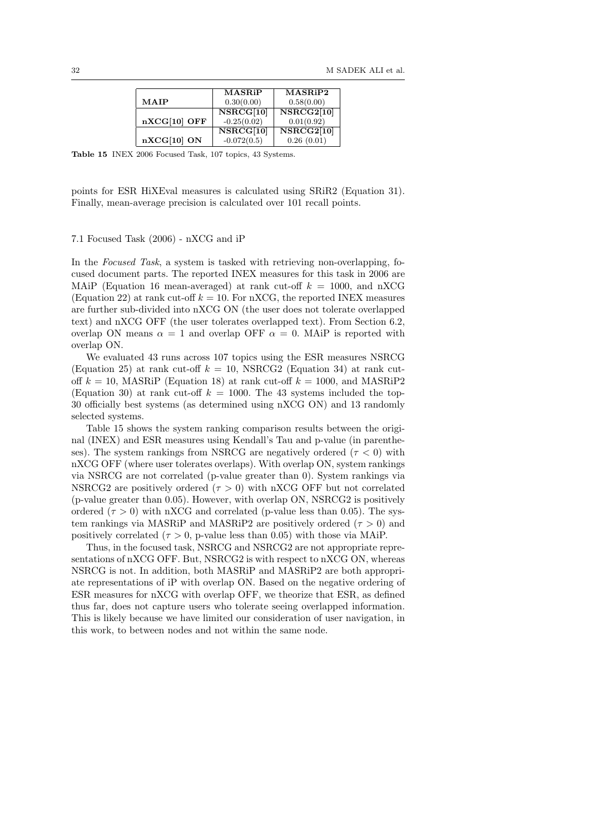|                | MASRiP                          | MASRiP2    |
|----------------|---------------------------------|------------|
| <b>MAIP</b>    | 0.30(0.00)                      | 0.58(0.00) |
|                | $\overline{\mathrm{NSRCG}[10]}$ | NSRCG2[10] |
| $nXCG[10]$ OFF | $-0.25(0.02)$                   | 0.01(0.92) |
|                | NSRCG[10]                       | NSRCG2[10] |
| $nXCG[10]$ ON  | $-0.072(0.5)$                   | 0.26(0.01) |

Table 15 INEX 2006 Focused Task, 107 topics, 43 Systems.

points for ESR HiXEval measures is calculated using SRiR2 (Equation 31). Finally, mean-average precision is calculated over 101 recall points.

### 7.1 Focused Task (2006) - nXCG and iP

In the Focused Task, a system is tasked with retrieving non-overlapping, focused document parts. The reported INEX measures for this task in 2006 are MAiP (Equation 16 mean-averaged) at rank cut-off  $k = 1000$ , and nXCG (Equation 22) at rank cut-off  $k = 10$ . For nXCG, the reported INEX measures are further sub-divided into nXCG ON (the user does not tolerate overlapped text) and nXCG OFF (the user tolerates overlapped text). From Section 6.2, overlap ON means  $\alpha = 1$  and overlap OFF  $\alpha = 0$ . MAiP is reported with overlap ON.

We evaluated 43 runs across 107 topics using the ESR measures NSRCG (Equation 25) at rank cut-off  $k = 10$ , NSRCG2 (Equation 34) at rank cutoff  $k = 10$ , MASRiP (Equation 18) at rank cut-off  $k = 1000$ , and MASRiP2 (Equation 30) at rank cut-off  $k = 1000$ . The 43 systems included the top-30 officially best systems (as determined using nXCG ON) and 13 randomly selected systems.

Table 15 shows the system ranking comparison results between the original (INEX) and ESR measures using Kendall's Tau and p-value (in parentheses). The system rankings from NSRCG are negatively ordered ( $\tau < 0$ ) with nXCG OFF (where user tolerates overlaps). With overlap ON, system rankings via NSRCG are not correlated (p-value greater than 0). System rankings via NSRCG2 are positively ordered ( $\tau > 0$ ) with nXCG OFF but not correlated (p-value greater than 0.05). However, with overlap ON, NSRCG2 is positively ordered  $(\tau > 0)$  with nXCG and correlated (p-value less than 0.05). The system rankings via MASRiP and MASRiP2 are positively ordered ( $\tau > 0$ ) and positively correlated ( $\tau > 0$ , p-value less than 0.05) with those via MAiP.

Thus, in the focused task, NSRCG and NSRCG2 are not appropriate representations of nXCG OFF. But, NSRCG2 is with respect to nXCG ON, whereas NSRCG is not. In addition, both MASRiP and MASRiP2 are both appropriate representations of iP with overlap ON. Based on the negative ordering of ESR measures for nXCG with overlap OFF, we theorize that ESR, as defined thus far, does not capture users who tolerate seeing overlapped information. This is likely because we have limited our consideration of user navigation, in this work, to between nodes and not within the same node.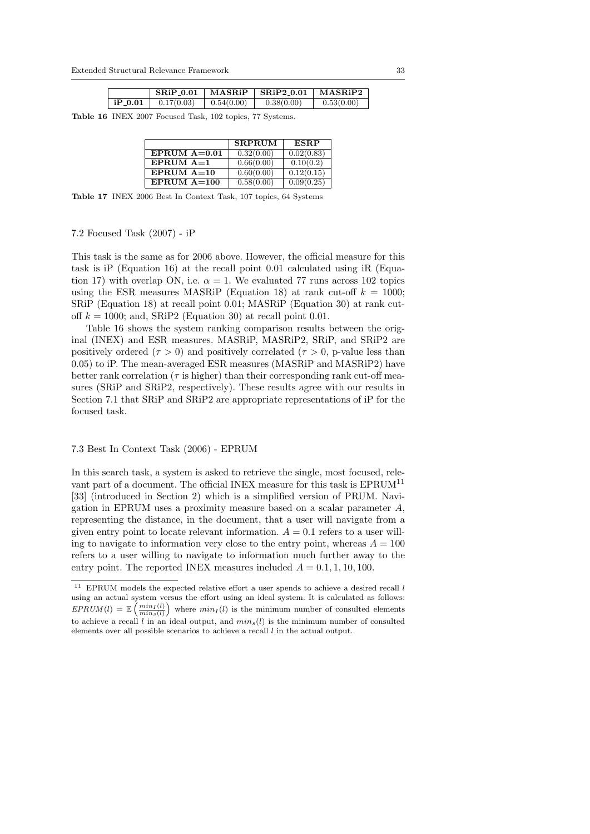|         | <b>SR<sub>i</sub>P</b> 0.01 | <b>MASRIP</b> | SRiP2 0.01 | MASR <sub>i</sub> P <sub>2</sub> |
|---------|-----------------------------|---------------|------------|----------------------------------|
| iP_0.01 | 0.17(0.03)                  | 0.54(0.00)    | 0.38(0.00) | 0.53(0.00)                       |

Table 16 INEX 2007 Focused Task, 102 topics, 77 Systems.

|                | <b>SRPRUM</b> | <b>ESRP</b> |
|----------------|---------------|-------------|
| $EPRUM A=0.01$ | 0.32(0.00)    | 0.02(0.83)  |
| $EPRUM A=1$    | 0.66(0.00)    | 0.10(0.2)   |
| $EPRUM A=10$   | 0.60(0.00)    | 0.12(0.15)  |
| $EPRUM A=100$  | 0.58(0.00)    | 0.09(0.25)  |

Table 17 INEX 2006 Best In Context Task, 107 topics, 64 Systems

### 7.2 Focused Task (2007) - iP

This task is the same as for 2006 above. However, the official measure for this task is iP (Equation 16) at the recall point 0.01 calculated using iR (Equation 17) with overlap ON, i.e.  $\alpha = 1$ . We evaluated 77 runs across 102 topics using the ESR measures MASRiP (Equation 18) at rank cut-off  $k = 1000$ ; SRiP (Equation 18) at recall point 0.01; MASRiP (Equation 30) at rank cutoff  $k = 1000$ ; and, SRiP2 (Equation 30) at recall point 0.01.

Table 16 shows the system ranking comparison results between the original (INEX) and ESR measures. MASRiP, MASRiP2, SRiP, and SRiP2 are positively ordered ( $\tau > 0$ ) and positively correlated ( $\tau > 0$ , p-value less than 0.05) to iP. The mean-averaged ESR measures (MASRiP and MASRiP2) have better rank correlation ( $\tau$  is higher) than their corresponding rank cut-off measures (SRiP and SRiP2, respectively). These results agree with our results in Section 7.1 that SRiP and SRiP2 are appropriate representations of iP for the focused task.

# 7.3 Best In Context Task (2006) - EPRUM

In this search task, a system is asked to retrieve the single, most focused, relevant part of a document. The official INEX measure for this task is EPRUM<sup>11</sup> [33] (introduced in Section 2) which is a simplified version of PRUM. Navigation in EPRUM uses a proximity measure based on a scalar parameter  $A$ , representing the distance, in the document, that a user will navigate from a given entry point to locate relevant information.  $A = 0.1$  refers to a user willing to navigate to information very close to the entry point, whereas  $A = 100$ refers to a user willing to navigate to information much further away to the entry point. The reported INEX measures included  $A = 0.1, 1, 10, 100$ .

 $^{11}\,$  EPRUM models the expected relative effort a user spends to achieve a desired recall  $l$ using an actual system versus the effort using an ideal system. It is calculated as follows:  $EPRUM(l) = \mathbb{E}\left(\frac{min_I(l)}{min_s(l)}\right)$  where  $min_I(l)$  is the minimum number of consulted elements to achieve a recall l in an ideal output, and  $min_s(l)$  is the minimum number of consulted elements over all possible scenarios to achieve a recall  $l$  in the actual output.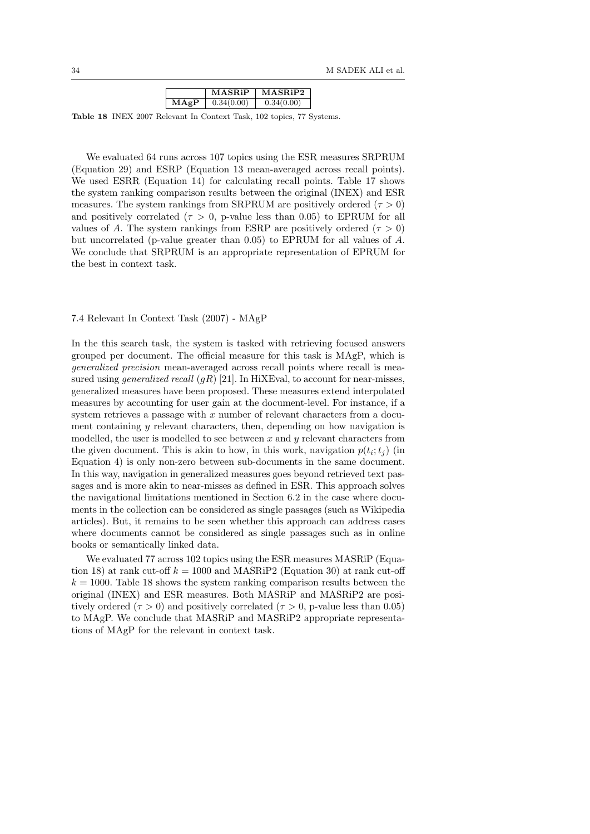|      | MASRiP     | MASR <sub>i</sub> P <sub>2</sub> |
|------|------------|----------------------------------|
| МАеР | 0.34(0.00) | 0.34(0.00)                       |

Table 18 INEX 2007 Relevant In Context Task, 102 topics, 77 Systems.

We evaluated 64 runs across 107 topics using the ESR measures SRPRUM (Equation 29) and ESRP (Equation 13 mean-averaged across recall points). We used ESRR (Equation 14) for calculating recall points. Table 17 shows the system ranking comparison results between the original (INEX) and ESR measures. The system rankings from SRPRUM are positively ordered ( $\tau > 0$ ) and positively correlated ( $\tau > 0$ , p-value less than 0.05) to EPRUM for all values of A. The system rankings from ESRP are positively ordered ( $\tau > 0$ ) but uncorrelated (p-value greater than 0.05) to EPRUM for all values of A. We conclude that SRPRUM is an appropriate representation of EPRUM for the best in context task.

# 7.4 Relevant In Context Task (2007) - MAgP

In the this search task, the system is tasked with retrieving focused answers grouped per document. The official measure for this task is MAgP, which is generalized precision mean-averaged across recall points where recall is measured using *generalized recall*  $(qR)$  [21]. In HiXEval, to account for near-misses, generalized measures have been proposed. These measures extend interpolated measures by accounting for user gain at the document-level. For instance, if a system retrieves a passage with  $x$  number of relevant characters from a document containing y relevant characters, then, depending on how navigation is modelled, the user is modelled to see between  $x$  and  $y$  relevant characters from the given document. This is akin to how, in this work, navigation  $p(t_i; t_j)$  (in Equation 4) is only non-zero between sub-documents in the same document. In this way, navigation in generalized measures goes beyond retrieved text passages and is more akin to near-misses as defined in ESR. This approach solves the navigational limitations mentioned in Section 6.2 in the case where documents in the collection can be considered as single passages (such as Wikipedia articles). But, it remains to be seen whether this approach can address cases where documents cannot be considered as single passages such as in online books or semantically linked data.

We evaluated 77 across 102 topics using the ESR measures MASRiP (Equation 18) at rank cut-off  $k = 1000$  and MASRiP2 (Equation 30) at rank cut-off  $k = 1000$ . Table 18 shows the system ranking comparison results between the original (INEX) and ESR measures. Both MASRiP and MASRiP2 are positively ordered ( $\tau > 0$ ) and positively correlated ( $\tau > 0$ , p-value less than 0.05) to MAgP. We conclude that MASRiP and MASRiP2 appropriate representations of MAgP for the relevant in context task.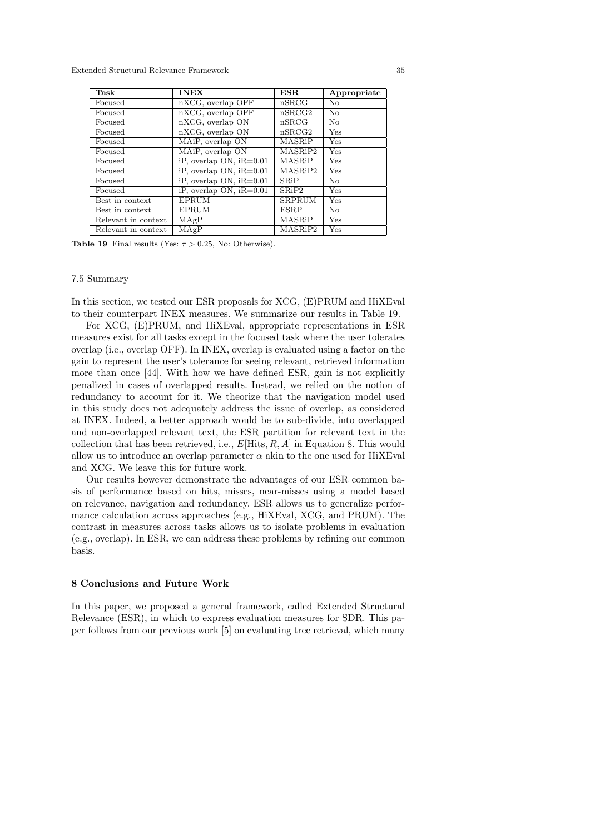| Task                | <b>INEX</b>                  | ESR.                           | Appropriate |
|---------------------|------------------------------|--------------------------------|-------------|
| Focused             | nXCG, overlap OFF            | nSRCG                          | No          |
| Focused             | nXCG, overlap OFF            | nSRCG2                         | No          |
| Focused             | nXCG, overlap ON             | nSRCG                          | No          |
| Focused             | nXCG, overlap ON             | nSRCG2                         | Yes         |
| Focused             | MAiP, overlap ON             | MASRiP                         | Yes         |
| Focused             | MAiP, overlap ON             | MASR <sub>i</sub> P2           | Yes         |
| Focused             | $iP$ , overlap ON, $iR=0.01$ | MASRiP                         | Yes         |
| Focused             | $iP$ , overlap ON, $iR=0.01$ | MASR <sub>i</sub> P2           | Yes         |
| Focused             | $iP$ , overlap ON, $iR=0.01$ | SRiP                           | No.         |
| Focused             | $iP$ , overlap ON, $iR=0.01$ | SR <sub>i</sub> P <sub>2</sub> | Yes         |
| Best in context     | <b>EPRUM</b>                 | <b>SRPRUM</b>                  | Yes         |
| Best in context     | <b>EPRUM</b>                 | <b>ESRP</b>                    | No          |
| Relevant in context | MAgP                         | MASRiP                         | Yes         |
| Relevant in context | MAgP                         | MASRiP2                        | Yes         |

Table 19 Final results (Yes:  $\tau > 0.25$ , No: Otherwise).

# 7.5 Summary

In this section, we tested our ESR proposals for XCG, (E)PRUM and HiXEval to their counterpart INEX measures. We summarize our results in Table 19.

For XCG, (E)PRUM, and HiXEval, appropriate representations in ESR measures exist for all tasks except in the focused task where the user tolerates overlap (i.e., overlap OFF). In INEX, overlap is evaluated using a factor on the gain to represent the user's tolerance for seeing relevant, retrieved information more than once [44]. With how we have defined ESR, gain is not explicitly penalized in cases of overlapped results. Instead, we relied on the notion of redundancy to account for it. We theorize that the navigation model used in this study does not adequately address the issue of overlap, as considered at INEX. Indeed, a better approach would be to sub-divide, into overlapped and non-overlapped relevant text, the ESR partition for relevant text in the collection that has been retrieved, i.e.,  $E[\text{Hits}, R, A]$  in Equation 8. This would allow us to introduce an overlap parameter  $\alpha$  akin to the one used for HiXEval and XCG. We leave this for future work.

Our results however demonstrate the advantages of our ESR common basis of performance based on hits, misses, near-misses using a model based on relevance, navigation and redundancy. ESR allows us to generalize performance calculation across approaches (e.g., HiXEval, XCG, and PRUM). The contrast in measures across tasks allows us to isolate problems in evaluation (e.g., overlap). In ESR, we can address these problems by refining our common basis.

# 8 Conclusions and Future Work

In this paper, we proposed a general framework, called Extended Structural Relevance (ESR), in which to express evaluation measures for SDR. This paper follows from our previous work [5] on evaluating tree retrieval, which many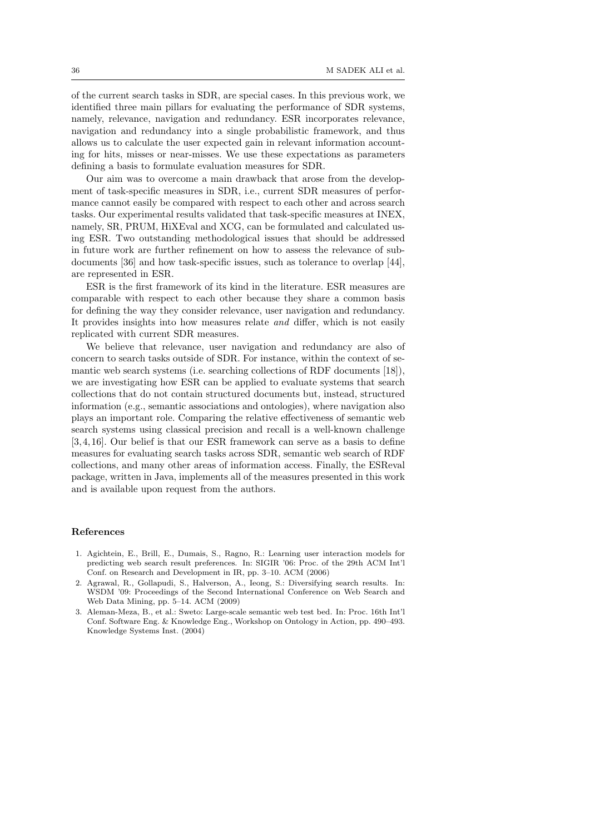of the current search tasks in SDR, are special cases. In this previous work, we identified three main pillars for evaluating the performance of SDR systems, namely, relevance, navigation and redundancy. ESR incorporates relevance, navigation and redundancy into a single probabilistic framework, and thus allows us to calculate the user expected gain in relevant information accounting for hits, misses or near-misses. We use these expectations as parameters defining a basis to formulate evaluation measures for SDR.

Our aim was to overcome a main drawback that arose from the development of task-specific measures in SDR, i.e., current SDR measures of performance cannot easily be compared with respect to each other and across search tasks. Our experimental results validated that task-specific measures at INEX, namely, SR, PRUM, HiXEval and XCG, can be formulated and calculated using ESR. Two outstanding methodological issues that should be addressed in future work are further refinement on how to assess the relevance of subdocuments [36] and how task-specific issues, such as tolerance to overlap [44], are represented in ESR.

ESR is the first framework of its kind in the literature. ESR measures are comparable with respect to each other because they share a common basis for defining the way they consider relevance, user navigation and redundancy. It provides insights into how measures relate and differ, which is not easily replicated with current SDR measures.

We believe that relevance, user navigation and redundancy are also of concern to search tasks outside of SDR. For instance, within the context of semantic web search systems (i.e. searching collections of RDF documents [18]), we are investigating how ESR can be applied to evaluate systems that search collections that do not contain structured documents but, instead, structured information (e.g., semantic associations and ontologies), where navigation also plays an important role. Comparing the relative effectiveness of semantic web search systems using classical precision and recall is a well-known challenge [3, 4, 16]. Our belief is that our ESR framework can serve as a basis to define measures for evaluating search tasks across SDR, semantic web search of RDF collections, and many other areas of information access. Finally, the ESReval package, written in Java, implements all of the measures presented in this work and is available upon request from the authors.

### References

- 1. Agichtein, E., Brill, E., Dumais, S., Ragno, R.: Learning user interaction models for predicting web search result preferences. In: SIGIR '06: Proc. of the 29th ACM Int'l Conf. on Research and Development in IR, pp. 3–10. ACM (2006)
- 2. Agrawal, R., Gollapudi, S., Halverson, A., Ieong, S.: Diversifying search results. In: WSDM '09: Proceedings of the Second International Conference on Web Search and Web Data Mining, pp. 5–14. ACM (2009)
- 3. Aleman-Meza, B., et al.: Sweto: Large-scale semantic web test bed. In: Proc. 16th Int'l Conf. Software Eng. & Knowledge Eng., Workshop on Ontology in Action, pp. 490–493. Knowledge Systems Inst. (2004)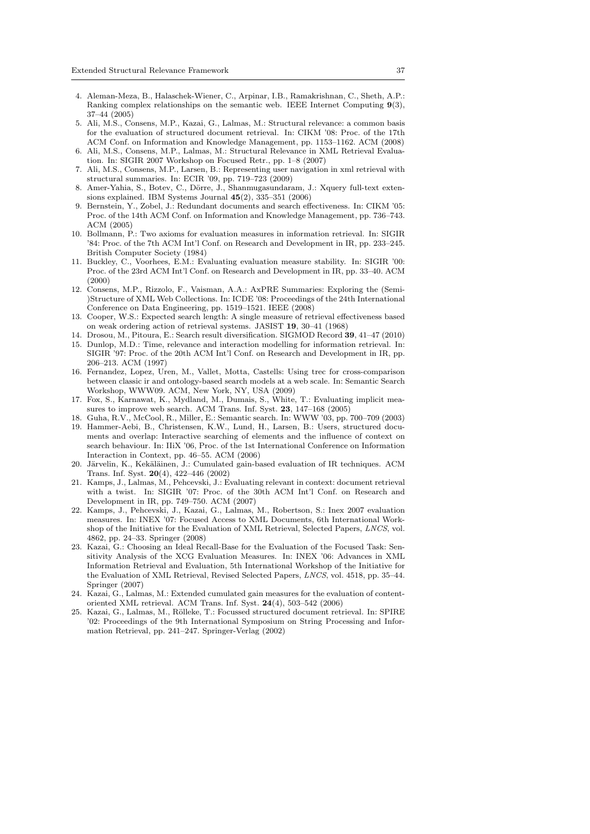- 4. Aleman-Meza, B., Halaschek-Wiener, C., Arpinar, I.B., Ramakrishnan, C., Sheth, A.P.: Ranking complex relationships on the semantic web. IEEE Internet Computing 9(3), 37–44 (2005)
- 5. Ali, M.S., Consens, M.P., Kazai, G., Lalmas, M.: Structural relevance: a common basis for the evaluation of structured document retrieval. In: CIKM '08: Proc. of the 17th ACM Conf. on Information and Knowledge Management, pp. 1153–1162. ACM (2008)
- 6. Ali, M.S., Consens, M.P., Lalmas, M.: Structural Relevance in XML Retrieval Evaluation. In: SIGIR 2007 Workshop on Focused Retr., pp. 1–8 (2007)
- 7. Ali, M.S., Consens, M.P., Larsen, B.: Representing user navigation in xml retrieval with structural summaries. In: ECIR '09, pp. 719–723 (2009)
- 8. Amer-Yahia, S., Botev, C., Dörre, J., Shanmugasundaram, J.: Xquery full-text extensions explained. IBM Systems Journal 45(2), 335–351 (2006)
- 9. Bernstein, Y., Zobel, J.: Redundant documents and search effectiveness. In: CIKM '05: Proc. of the 14th ACM Conf. on Information and Knowledge Management, pp. 736–743. ACM (2005)
- 10. Bollmann, P.: Two axioms for evaluation measures in information retrieval. In: SIGIR '84: Proc. of the 7th ACM Int'l Conf. on Research and Development in IR, pp. 233–245. British Computer Society (1984)
- 11. Buckley, C., Voorhees, E.M.: Evaluating evaluation measure stability. In: SIGIR '00: Proc. of the 23rd ACM Int'l Conf. on Research and Development in IR, pp. 33–40. ACM (2000)
- 12. Consens, M.P., Rizzolo, F., Vaisman, A.A.: AxPRE Summaries: Exploring the (Semi- )Structure of XML Web Collections. In: ICDE '08: Proceedings of the 24th International Conference on Data Engineering, pp. 1519–1521. IEEE (2008)
- 13. Cooper, W.S.: Expected search length: A single measure of retrieval effectiveness based on weak ordering action of retrieval systems. JASIST 19, 30–41 (1968)
- 14. Drosou, M., Pitoura, E.: Search result diversification. SIGMOD Record 39, 41–47 (2010)
- 15. Dunlop, M.D.: Time, relevance and interaction modelling for information retrieval. In: SIGIR '97: Proc. of the 20th ACM Int'l Conf. on Research and Development in IR, pp. 206–213. ACM (1997)
- 16. Fernandez, Lopez, Uren, M., Vallet, Motta, Castells: Using trec for cross-comparison between classic ir and ontology-based search models at a web scale. In: Semantic Search Workshop, WWW09. ACM, New York, NY, USA (2009)
- 17. Fox, S., Karnawat, K., Mydland, M., Dumais, S., White, T.: Evaluating implicit measures to improve web search. ACM Trans. Inf. Syst. 23,  $147-168$  (2005)
- 18. Guha, R.V., McCool, R., Miller, E.: Semantic search. In: WWW '03, pp. 700–709 (2003)
- 19. Hammer-Aebi, B., Christensen, K.W., Lund, H., Larsen, B.: Users, structured documents and overlap: Interactive searching of elements and the influence of context on search behaviour. In: IIiX '06, Proc. of the 1st International Conference on Information Interaction in Context, pp. 46–55. ACM (2006)
- 20. Järvelin, K., Kekäläinen, J.: Cumulated gain-based evaluation of IR techniques. ACM Trans. Inf. Syst. 20(4), 422–446 (2002)
- 21. Kamps, J., Lalmas, M., Pehcevski, J.: Evaluating relevant in context: document retrieval with a twist. In: SIGIR '07: Proc. of the 30th ACM Int'l Conf. on Research and Development in IR, pp. 749–750. ACM (2007)
- 22. Kamps, J., Pehcevski, J., Kazai, G., Lalmas, M., Robertson, S.: Inex 2007 evaluation measures. In: INEX '07: Focused Access to XML Documents, 6th International Workshop of the Initiative for the Evaluation of XML Retrieval, Selected Papers, LNCS, vol. 4862, pp. 24–33. Springer (2008)
- 23. Kazai, G.: Choosing an Ideal Recall-Base for the Evaluation of the Focused Task: Sensitivity Analysis of the XCG Evaluation Measures. In: INEX '06: Advances in XML Information Retrieval and Evaluation, 5th International Workshop of the Initiative for the Evaluation of XML Retrieval, Revised Selected Papers, LNCS, vol. 4518, pp. 35–44. Springer (2007)
- 24. Kazai, G., Lalmas, M.: Extended cumulated gain measures for the evaluation of contentoriented XML retrieval. ACM Trans. Inf. Syst. 24(4), 503–542 (2006)
- 25. Kazai, G., Lalmas, M., Rölleke, T.: Focussed structured document retrieval. In: SPIRE '02: Proceedings of the 9th International Symposium on String Processing and Information Retrieval, pp. 241–247. Springer-Verlag (2002)